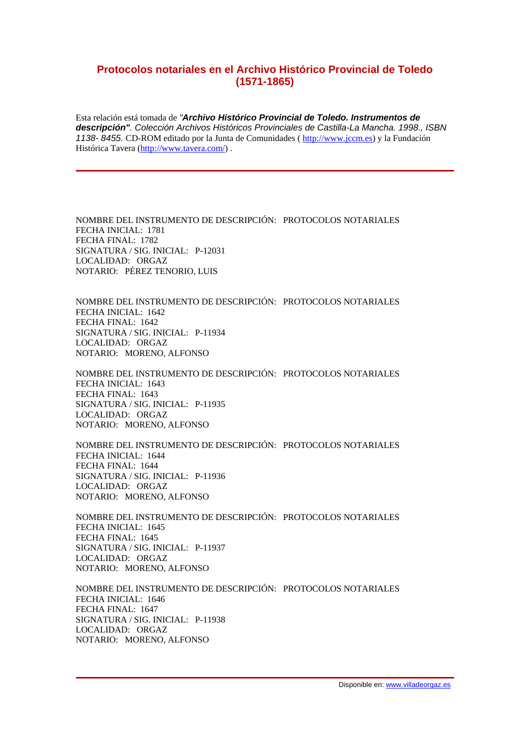## **Protocolos notariales en el Archivo Histórico Provincial de Toledo (1571-1865)**

Esta relación está tomada de *"Archivo Histórico Provincial de Toledo. Instrumentos de descripción". Colección Archivos Históricos Provinciales de Castilla-La Mancha. 1998., ISBN 1138- 8455.* CD-ROM editado por la Junta de Comunidades ( [http://www.jccm.es\)](http://www.jccm.es/) y la Fundación Histórica Tavera [\(http://www.tavera.com/\)](http://www.tavera.com/).

NOMBRE DEL INSTRUMENTO DE DESCRIPCIÓN: PROTOCOLOS NOTARIALES FECHA INICIAL: 1781 FECHA FINAL: 1782 SIGNATURA / SIG. INICIAL: P-12031 LOCALIDAD: ORGAZ NOTARIO: PÉREZ TENORIO, LUIS

NOMBRE DEL INSTRUMENTO DE DESCRIPCIÓN: PROTOCOLOS NOTARIALES FECHA INICIAL: 1642 FECHA FINAL: 1642 SIGNATURA / SIG. INICIAL: P-11934 LOCALIDAD: ORGAZ NOTARIO: MORENO, ALFONSO

NOMBRE DEL INSTRUMENTO DE DESCRIPCIÓN: PROTOCOLOS NOTARIALES FECHA INICIAL: 1643 FECHA FINAL: 1643 SIGNATURA / SIG. INICIAL: P-11935 LOCALIDAD: ORGAZ NOTARIO: MORENO, ALFONSO

NOMBRE DEL INSTRUMENTO DE DESCRIPCIÓN: PROTOCOLOS NOTARIALES FECHA INICIAL: 1644 FECHA FINAL: 1644 SIGNATURA / SIG. INICIAL: P-11936 LOCALIDAD: ORGAZ NOTARIO: MORENO, ALFONSO

NOMBRE DEL INSTRUMENTO DE DESCRIPCIÓN: PROTOCOLOS NOTARIALES FECHA INICIAL: 1645 FECHA FINAL: 1645 SIGNATURA / SIG. INICIAL: P-11937 LOCALIDAD: ORGAZ NOTARIO: MORENO, ALFONSO

NOMBRE DEL INSTRUMENTO DE DESCRIPCIÓN: PROTOCOLOS NOTARIALES FECHA INICIAL: 1646 FECHA FINAL: 1647 SIGNATURA / SIG. INICIAL: P-11938 LOCALIDAD: ORGAZ NOTARIO: MORENO, ALFONSO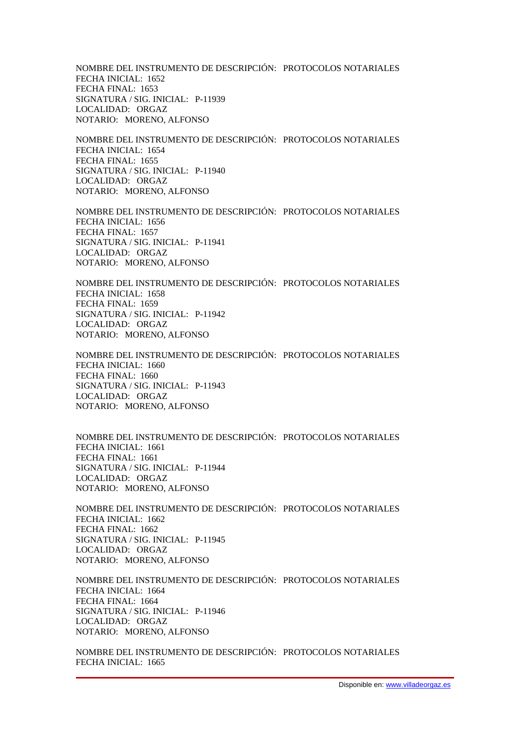NOMBRE DEL INSTRUMENTO DE DESCRIPCIÓN: PROTOCOLOS NOTARIALES FECHA INICIAL: 1652 FECHA FINAL: 1653 SIGNATURA / SIG. INICIAL: P-11939 LOCALIDAD: ORGAZ NOTARIO: MORENO, ALFONSO

NOMBRE DEL INSTRUMENTO DE DESCRIPCIÓN: PROTOCOLOS NOTARIALES FECHA INICIAL: 1654 FECHA FINAL: 1655 SIGNATURA / SIG. INICIAL: P-11940 LOCALIDAD: ORGAZ NOTARIO: MORENO, ALFONSO

NOMBRE DEL INSTRUMENTO DE DESCRIPCIÓN: PROTOCOLOS NOTARIALES FECHA INICIAL: 1656 FECHA FINAL: 1657 SIGNATURA / SIG. INICIAL: P-11941 LOCALIDAD: ORGAZ NOTARIO: MORENO, ALFONSO

NOMBRE DEL INSTRUMENTO DE DESCRIPCIÓN: PROTOCOLOS NOTARIALES FECHA INICIAL: 1658 FECHA FINAL: 1659 SIGNATURA / SIG. INICIAL: P-11942 LOCALIDAD: ORGAZ NOTARIO: MORENO, ALFONSO

NOMBRE DEL INSTRUMENTO DE DESCRIPCIÓN: PROTOCOLOS NOTARIALES FECHA INICIAL: 1660 FECHA FINAL: 1660 SIGNATURA / SIG. INICIAL: P-11943 LOCALIDAD: ORGAZ NOTARIO: MORENO, ALFONSO

NOMBRE DEL INSTRUMENTO DE DESCRIPCIÓN: PROTOCOLOS NOTARIALES FECHA INICIAL: 1661 FECHA FINAL: 1661 SIGNATURA / SIG. INICIAL: P-11944 LOCALIDAD: ORGAZ NOTARIO: MORENO, ALFONSO

NOMBRE DEL INSTRUMENTO DE DESCRIPCIÓN: PROTOCOLOS NOTARIALES FECHA INICIAL: 1662 FECHA FINAL: 1662 SIGNATURA / SIG. INICIAL: P-11945 LOCALIDAD: ORGAZ NOTARIO: MORENO, ALFONSO

NOMBRE DEL INSTRUMENTO DE DESCRIPCIÓN: PROTOCOLOS NOTARIALES FECHA INICIAL: 1664 FECHA FINAL: 1664 SIGNATURA / SIG. INICIAL: P-11946 LOCALIDAD: ORGAZ NOTARIO: MORENO, ALFONSO

NOMBRE DEL INSTRUMENTO DE DESCRIPCIÓN: PROTOCOLOS NOTARIALES FECHA INICIAL: 1665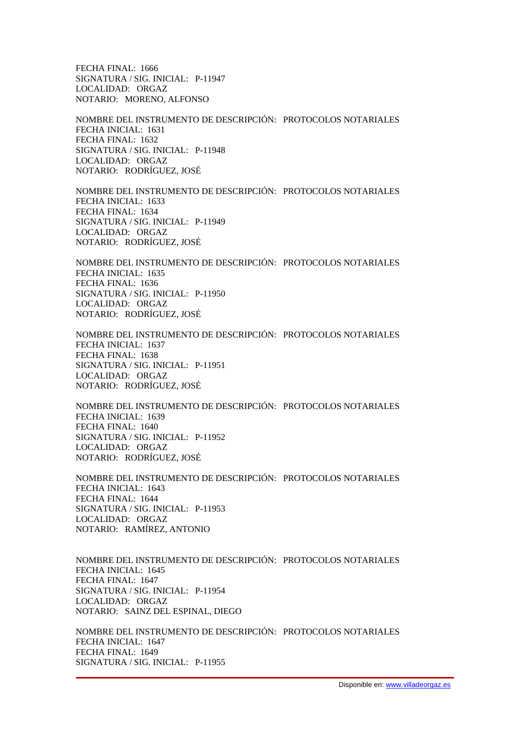FECHA FINAL: 1666 SIGNATURA / SIG. INICIAL: P-11947 LOCALIDAD: ORGAZ NOTARIO: MORENO, ALFONSO

NOMBRE DEL INSTRUMENTO DE DESCRIPCIÓN: PROTOCOLOS NOTARIALES FECHA INICIAL: 1631 FECHA FINAL: 1632 SIGNATURA / SIG. INICIAL: P-11948 LOCALIDAD: ORGAZ NOTARIO: RODRÍGUEZ, JOSÉ

NOMBRE DEL INSTRUMENTO DE DESCRIPCIÓN: PROTOCOLOS NOTARIALES FECHA INICIAL: 1633 FECHA FINAL: 1634 SIGNATURA / SIG. INICIAL: P-11949 LOCALIDAD: ORGAZ NOTARIO: RODRÍGUEZ, JOSÉ

NOMBRE DEL INSTRUMENTO DE DESCRIPCIÓN: PROTOCOLOS NOTARIALES FECHA INICIAL: 1635 FECHA FINAL: 1636 SIGNATURA / SIG. INICIAL: P-11950 LOCALIDAD: ORGAZ NOTARIO: RODRÍGUEZ, JOSÉ

NOMBRE DEL INSTRUMENTO DE DESCRIPCIÓN: PROTOCOLOS NOTARIALES FECHA INICIAL: 1637 FECHA FINAL: 1638 SIGNATURA / SIG. INICIAL: P-11951 LOCALIDAD: ORGAZ NOTARIO: RODRÍGUEZ, JOSÉ

NOMBRE DEL INSTRUMENTO DE DESCRIPCIÓN: PROTOCOLOS NOTARIALES FECHA INICIAL: 1639 FECHA FINAL: 1640 SIGNATURA / SIG. INICIAL: P-11952 LOCALIDAD: ORGAZ NOTARIO: RODRÍGUEZ, JOSÉ

NOMBRE DEL INSTRUMENTO DE DESCRIPCIÓN: PROTOCOLOS NOTARIALES FECHA INICIAL: 1643 FECHA FINAL: 1644 SIGNATURA / SIG. INICIAL: P-11953 LOCALIDAD: ORGAZ NOTARIO: RAMÍREZ, ANTONIO

NOMBRE DEL INSTRUMENTO DE DESCRIPCIÓN: PROTOCOLOS NOTARIALES FECHA INICIAL: 1645 FECHA FINAL: 1647 SIGNATURA / SIG. INICIAL: P-11954 LOCALIDAD: ORGAZ NOTARIO: SAINZ DEL ESPINAL, DIEGO

NOMBRE DEL INSTRUMENTO DE DESCRIPCIÓN: PROTOCOLOS NOTARIALES FECHA INICIAL: 1647 FECHA FINAL: 1649 SIGNATURA / SIG. INICIAL: P-11955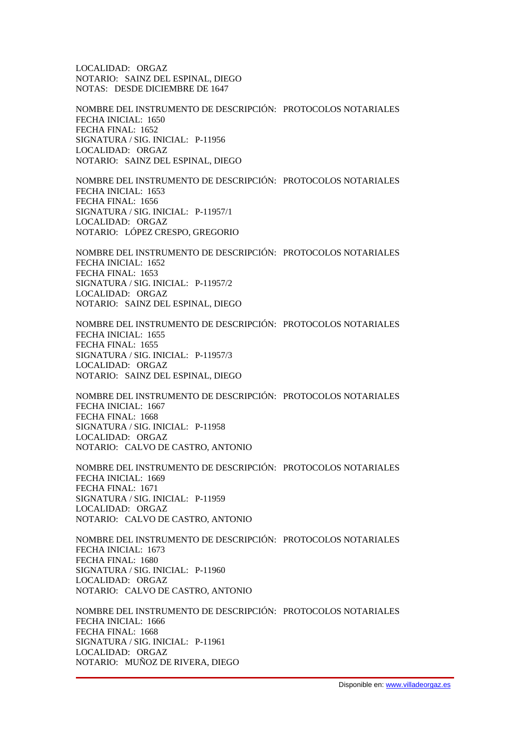LOCALIDAD: ORGAZ NOTARIO: SAINZ DEL ESPINAL, DIEGO NOTAS: DESDE DICIEMBRE DE 1647

NOMBRE DEL INSTRUMENTO DE DESCRIPCIÓN: PROTOCOLOS NOTARIALES FECHA INICIAL: 1650 FECHA FINAL: 1652 SIGNATURA / SIG. INICIAL: P-11956 LOCALIDAD: ORGAZ NOTARIO: SAINZ DEL ESPINAL, DIEGO

NOMBRE DEL INSTRUMENTO DE DESCRIPCIÓN: PROTOCOLOS NOTARIALES FECHA INICIAL: 1653 FECHA FINAL: 1656 SIGNATURA / SIG. INICIAL: P-11957/1 LOCALIDAD: ORGAZ NOTARIO: LÓPEZ CRESPO, GREGORIO

NOMBRE DEL INSTRUMENTO DE DESCRIPCIÓN: PROTOCOLOS NOTARIALES FECHA INICIAL: 1652 FECHA FINAL: 1653 SIGNATURA / SIG. INICIAL: P-11957/2 LOCALIDAD: ORGAZ NOTARIO: SAINZ DEL ESPINAL, DIEGO

NOMBRE DEL INSTRUMENTO DE DESCRIPCIÓN: PROTOCOLOS NOTARIALES FECHA INICIAL: 1655 FECHA FINAL: 1655 SIGNATURA / SIG. INICIAL: P-11957/3 LOCALIDAD: ORGAZ NOTARIO: SAINZ DEL ESPINAL, DIEGO

NOMBRE DEL INSTRUMENTO DE DESCRIPCIÓN: PROTOCOLOS NOTARIALES FECHA INICIAL: 1667 FECHA FINAL: 1668 SIGNATURA / SIG. INICIAL: P-11958 LOCALIDAD: ORGAZ NOTARIO: CALVO DE CASTRO, ANTONIO

NOMBRE DEL INSTRUMENTO DE DESCRIPCIÓN: PROTOCOLOS NOTARIALES FECHA INICIAL: 1669 FECHA FINAL: 1671 SIGNATURA / SIG. INICIAL: P-11959 LOCALIDAD: ORGAZ NOTARIO: CALVO DE CASTRO, ANTONIO

NOMBRE DEL INSTRUMENTO DE DESCRIPCIÓN: PROTOCOLOS NOTARIALES FECHA INICIAL: 1673 FECHA FINAL: 1680 SIGNATURA / SIG. INICIAL: P-11960 LOCALIDAD: ORGAZ NOTARIO: CALVO DE CASTRO, ANTONIO

NOMBRE DEL INSTRUMENTO DE DESCRIPCIÓN: PROTOCOLOS NOTARIALES FECHA INICIAL: 1666 FECHA FINAL: 1668 SIGNATURA / SIG. INICIAL: P-11961 LOCALIDAD: ORGAZ NOTARIO: MUÑOZ DE RIVERA, DIEGO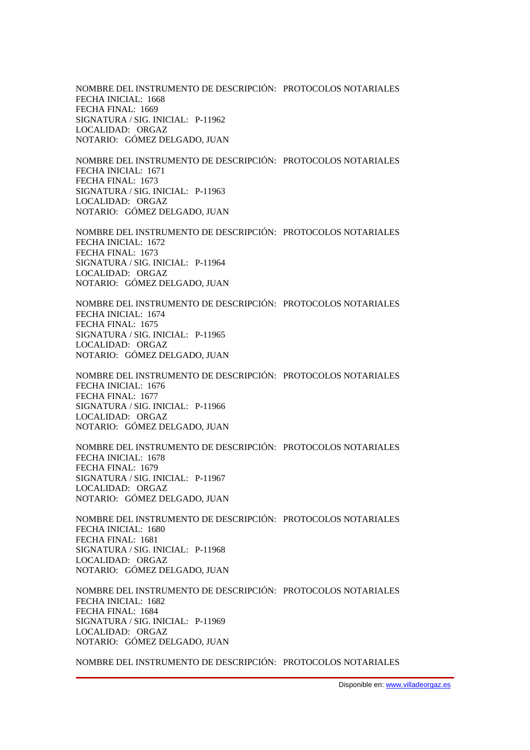NOMBRE DEL INSTRUMENTO DE DESCRIPCIÓN: PROTOCOLOS NOTARIALES FECHA INICIAL: 1668 FECHA FINAL: 1669 SIGNATURA / SIG. INICIAL: P-11962 LOCALIDAD: ORGAZ NOTARIO: GÓMEZ DELGADO, JUAN

NOMBRE DEL INSTRUMENTO DE DESCRIPCIÓN: PROTOCOLOS NOTARIALES FECHA INICIAL: 1671 FECHA FINAL: 1673 SIGNATURA / SIG. INICIAL: P-11963 LOCALIDAD: ORGAZ NOTARIO: GÓMEZ DELGADO, JUAN

NOMBRE DEL INSTRUMENTO DE DESCRIPCIÓN: PROTOCOLOS NOTARIALES FECHA INICIAL: 1672 FECHA FINAL: 1673 SIGNATURA / SIG. INICIAL: P-11964 LOCALIDAD: ORGAZ NOTARIO: GÓMEZ DELGADO, JUAN

NOMBRE DEL INSTRUMENTO DE DESCRIPCIÓN: PROTOCOLOS NOTARIALES FECHA INICIAL: 1674 FECHA FINAL: 1675 SIGNATURA / SIG. INICIAL: P-11965 LOCALIDAD: ORGAZ NOTARIO: GÓMEZ DELGADO, JUAN

NOMBRE DEL INSTRUMENTO DE DESCRIPCIÓN: PROTOCOLOS NOTARIALES FECHA INICIAL: 1676 FECHA FINAL: 1677 SIGNATURA / SIG. INICIAL: P-11966 LOCALIDAD: ORGAZ NOTARIO: GÓMEZ DELGADO, JUAN

NOMBRE DEL INSTRUMENTO DE DESCRIPCIÓN: PROTOCOLOS NOTARIALES FECHA INICIAL: 1678 FECHA FINAL: 1679 SIGNATURA / SIG. INICIAL: P-11967 LOCALIDAD: ORGAZ NOTARIO: GÓMEZ DELGADO, JUAN

NOMBRE DEL INSTRUMENTO DE DESCRIPCIÓN: PROTOCOLOS NOTARIALES FECHA INICIAL: 1680 FECHA FINAL: 1681 SIGNATURA / SIG. INICIAL: P-11968 LOCALIDAD: ORGAZ NOTARIO: GÓMEZ DELGADO, JUAN

NOMBRE DEL INSTRUMENTO DE DESCRIPCIÓN: PROTOCOLOS NOTARIALES FECHA INICIAL: 1682 FECHA FINAL: 1684 SIGNATURA / SIG. INICIAL: P-11969 LOCALIDAD: ORGAZ NOTARIO: GÓMEZ DELGADO, JUAN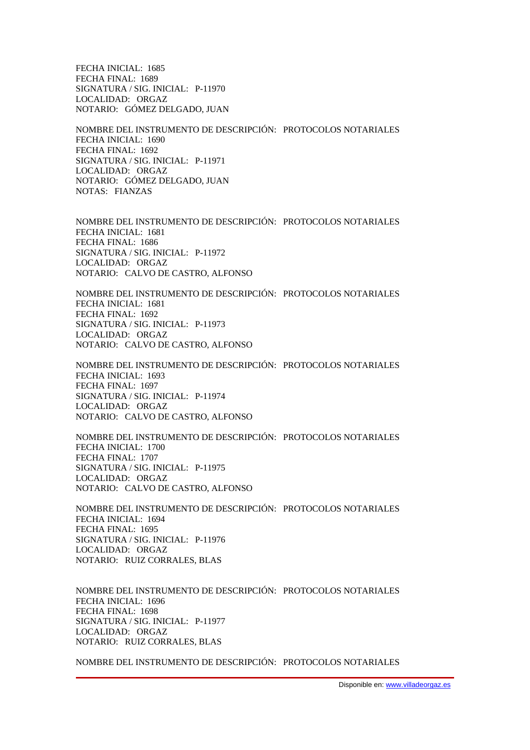FECHA INICIAL: 1685 FECHA FINAL: 1689 SIGNATURA / SIG. INICIAL: P-11970 LOCALIDAD: ORGAZ NOTARIO: GÓMEZ DELGADO, JUAN

NOMBRE DEL INSTRUMENTO DE DESCRIPCIÓN: PROTOCOLOS NOTARIALES FECHA INICIAL: 1690 FECHA FINAL: 1692 SIGNATURA / SIG. INICIAL: P-11971 LOCALIDAD: ORGAZ NOTARIO: GÓMEZ DELGADO, JUAN NOTAS: FIANZAS

NOMBRE DEL INSTRUMENTO DE DESCRIPCIÓN: PROTOCOLOS NOTARIALES FECHA INICIAL: 1681 FECHA FINAL: 1686 SIGNATURA / SIG. INICIAL: P-11972 LOCALIDAD: ORGAZ NOTARIO: CALVO DE CASTRO, ALFONSO

NOMBRE DEL INSTRUMENTO DE DESCRIPCIÓN: PROTOCOLOS NOTARIALES FECHA INICIAL: 1681 FECHA FINAL: 1692 SIGNATURA / SIG. INICIAL: P-11973 LOCALIDAD: ORGAZ NOTARIO: CALVO DE CASTRO, ALFONSO

NOMBRE DEL INSTRUMENTO DE DESCRIPCIÓN: PROTOCOLOS NOTARIALES FECHA INICIAL: 1693 FECHA FINAL: 1697 SIGNATURA / SIG. INICIAL: P-11974 LOCALIDAD: ORGAZ NOTARIO: CALVO DE CASTRO, ALFONSO

NOMBRE DEL INSTRUMENTO DE DESCRIPCIÓN: PROTOCOLOS NOTARIALES FECHA INICIAL: 1700 FECHA FINAL: 1707 SIGNATURA / SIG. INICIAL: P-11975 LOCALIDAD: ORGAZ NOTARIO: CALVO DE CASTRO, ALFONSO

NOMBRE DEL INSTRUMENTO DE DESCRIPCIÓN: PROTOCOLOS NOTARIALES FECHA INICIAL: 1694 FECHA FINAL: 1695 SIGNATURA / SIG. INICIAL: P-11976 LOCALIDAD: ORGAZ NOTARIO: RUIZ CORRALES, BLAS

NOMBRE DEL INSTRUMENTO DE DESCRIPCIÓN: PROTOCOLOS NOTARIALES FECHA INICIAL: 1696 FECHA FINAL: 1698 SIGNATURA / SIG. INICIAL: P-11977 LOCALIDAD: ORGAZ NOTARIO: RUIZ CORRALES, BLAS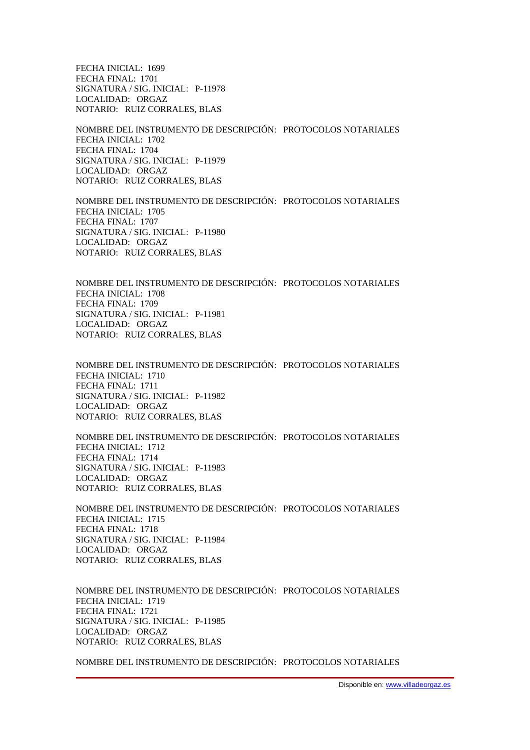FECHA INICIAL: 1699 FECHA FINAL: 1701 SIGNATURA / SIG. INICIAL: P-11978 LOCALIDAD: ORGAZ NOTARIO: RUIZ CORRALES, BLAS

NOMBRE DEL INSTRUMENTO DE DESCRIPCIÓN: PROTOCOLOS NOTARIALES FECHA INICIAL: 1702 FECHA FINAL: 1704 SIGNATURA / SIG. INICIAL: P-11979 LOCALIDAD: ORGAZ NOTARIO: RUIZ CORRALES, BLAS

NOMBRE DEL INSTRUMENTO DE DESCRIPCIÓN: PROTOCOLOS NOTARIALES FECHA INICIAL: 1705 FECHA FINAL: 1707 SIGNATURA / SIG. INICIAL: P-11980 LOCALIDAD: ORGAZ NOTARIO: RUIZ CORRALES, BLAS

NOMBRE DEL INSTRUMENTO DE DESCRIPCIÓN: PROTOCOLOS NOTARIALES FECHA INICIAL: 1708 FECHA FINAL: 1709 SIGNATURA / SIG. INICIAL: P-11981 LOCALIDAD: ORGAZ NOTARIO: RUIZ CORRALES, BLAS

NOMBRE DEL INSTRUMENTO DE DESCRIPCIÓN: PROTOCOLOS NOTARIALES FECHA INICIAL: 1710 FECHA FINAL: 1711 SIGNATURA / SIG. INICIAL: P-11982 LOCALIDAD: ORGAZ NOTARIO: RUIZ CORRALES, BLAS

NOMBRE DEL INSTRUMENTO DE DESCRIPCIÓN: PROTOCOLOS NOTARIALES FECHA INICIAL: 1712 FECHA FINAL: 1714 SIGNATURA / SIG. INICIAL: P-11983 LOCALIDAD: ORGAZ NOTARIO: RUIZ CORRALES, BLAS

NOMBRE DEL INSTRUMENTO DE DESCRIPCIÓN: PROTOCOLOS NOTARIALES FECHA INICIAL: 1715 FECHA FINAL: 1718 SIGNATURA / SIG. INICIAL: P-11984 LOCALIDAD: ORGAZ NOTARIO: RUIZ CORRALES, BLAS

NOMBRE DEL INSTRUMENTO DE DESCRIPCIÓN: PROTOCOLOS NOTARIALES FECHA INICIAL: 1719 FECHA FINAL: 1721 SIGNATURA / SIG. INICIAL: P-11985 LOCALIDAD: ORGAZ NOTARIO: RUIZ CORRALES, BLAS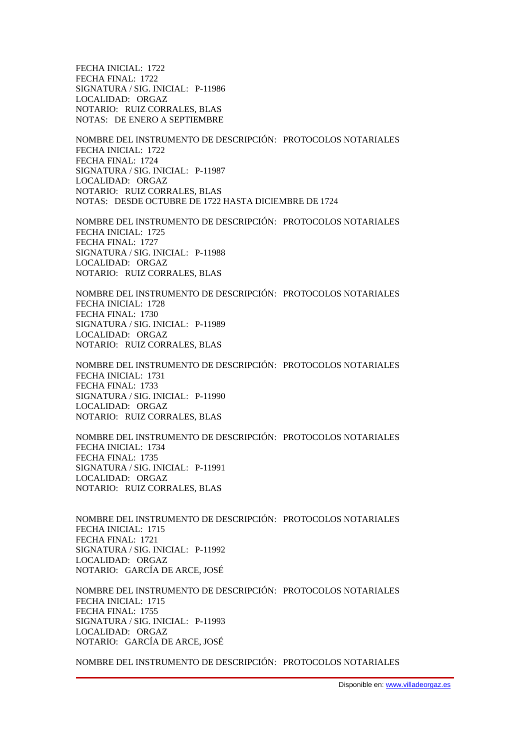FECHA INICIAL: 1722 FECHA FINAL: 1722 SIGNATURA / SIG. INICIAL: P-11986 LOCALIDAD: ORGAZ NOTARIO: RUIZ CORRALES, BLAS NOTAS: DE ENERO A SEPTIEMBRE

NOMBRE DEL INSTRUMENTO DE DESCRIPCIÓN: PROTOCOLOS NOTARIALES FECHA INICIAL: 1722 FECHA FINAL: 1724 SIGNATURA / SIG. INICIAL: P-11987 LOCALIDAD: ORGAZ NOTARIO: RUIZ CORRALES, BLAS NOTAS: DESDE OCTUBRE DE 1722 HASTA DICIEMBRE DE 1724

NOMBRE DEL INSTRUMENTO DE DESCRIPCIÓN: PROTOCOLOS NOTARIALES FECHA INICIAL: 1725 FECHA FINAL: 1727 SIGNATURA / SIG. INICIAL: P-11988 LOCALIDAD: ORGAZ NOTARIO: RUIZ CORRALES, BLAS

NOMBRE DEL INSTRUMENTO DE DESCRIPCIÓN: PROTOCOLOS NOTARIALES FECHA INICIAL: 1728 FECHA FINAL: 1730 SIGNATURA / SIG. INICIAL: P-11989 LOCALIDAD: ORGAZ NOTARIO: RUIZ CORRALES, BLAS

NOMBRE DEL INSTRUMENTO DE DESCRIPCIÓN: PROTOCOLOS NOTARIALES FECHA INICIAL: 1731 FECHA FINAL: 1733 SIGNATURA / SIG. INICIAL: P-11990 LOCALIDAD: ORGAZ NOTARIO: RUIZ CORRALES, BLAS

NOMBRE DEL INSTRUMENTO DE DESCRIPCIÓN: PROTOCOLOS NOTARIALES FECHA INICIAL: 1734 FECHA FINAL: 1735 SIGNATURA / SIG. INICIAL: P-11991 LOCALIDAD: ORGAZ NOTARIO: RUIZ CORRALES, BLAS

NOMBRE DEL INSTRUMENTO DE DESCRIPCIÓN: PROTOCOLOS NOTARIALES FECHA INICIAL: 1715 FECHA FINAL: 1721 SIGNATURA / SIG. INICIAL: P-11992 LOCALIDAD: ORGAZ NOTARIO: GARCÍA DE ARCE, JOSÉ

NOMBRE DEL INSTRUMENTO DE DESCRIPCIÓN: PROTOCOLOS NOTARIALES FECHA INICIAL: 1715 FECHA FINAL: 1755 SIGNATURA / SIG. INICIAL: P-11993 LOCALIDAD: ORGAZ NOTARIO: GARCÍA DE ARCE, JOSÉ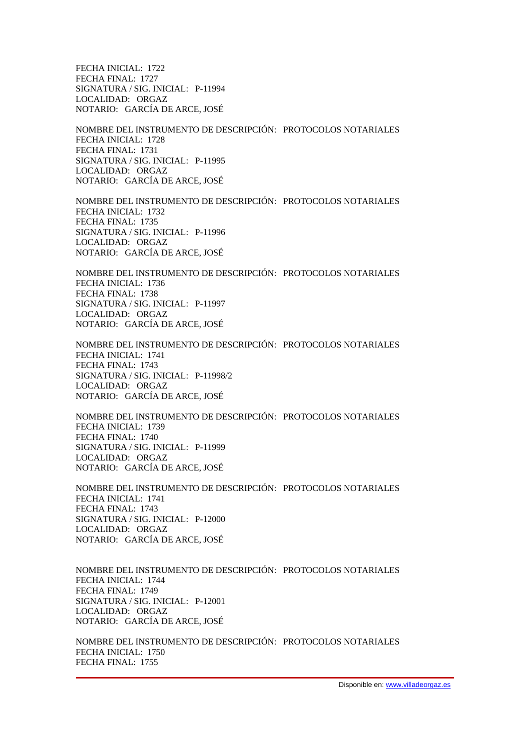FECHA INICIAL: 1722 FECHA FINAL: 1727 SIGNATURA / SIG. INICIAL: P-11994 LOCALIDAD: ORGAZ NOTARIO: GARCÍA DE ARCE, JOSÉ

NOMBRE DEL INSTRUMENTO DE DESCRIPCIÓN: PROTOCOLOS NOTARIALES FECHA INICIAL: 1728 FECHA FINAL: 1731 SIGNATURA / SIG. INICIAL: P-11995 LOCALIDAD: ORGAZ NOTARIO: GARCÍA DE ARCE, JOSÉ

NOMBRE DEL INSTRUMENTO DE DESCRIPCIÓN: PROTOCOLOS NOTARIALES FECHA INICIAL: 1732 FECHA FINAL: 1735 SIGNATURA / SIG. INICIAL: P-11996 LOCALIDAD: ORGAZ NOTARIO: GARCÍA DE ARCE, JOSÉ

NOMBRE DEL INSTRUMENTO DE DESCRIPCIÓN: PROTOCOLOS NOTARIALES FECHA INICIAL: 1736 FECHA FINAL: 1738 SIGNATURA / SIG. INICIAL: P-11997 LOCALIDAD: ORGAZ NOTARIO: GARCÍA DE ARCE, JOSÉ

NOMBRE DEL INSTRUMENTO DE DESCRIPCIÓN: PROTOCOLOS NOTARIALES FECHA INICIAL: 1741 FECHA FINAL: 1743 SIGNATURA / SIG. INICIAL: P-11998/2 LOCALIDAD: ORGAZ NOTARIO: GARCÍA DE ARCE, JOSÉ

NOMBRE DEL INSTRUMENTO DE DESCRIPCIÓN: PROTOCOLOS NOTARIALES FECHA INICIAL: 1739 FECHA FINAL: 1740 SIGNATURA / SIG. INICIAL: P-11999 LOCALIDAD: ORGAZ NOTARIO: GARCÍA DE ARCE, JOSÉ

NOMBRE DEL INSTRUMENTO DE DESCRIPCIÓN: PROTOCOLOS NOTARIALES FECHA INICIAL: 1741 FECHA FINAL: 1743 SIGNATURA / SIG. INICIAL: P-12000 LOCALIDAD: ORGAZ NOTARIO: GARCÍA DE ARCE, JOSÉ

NOMBRE DEL INSTRUMENTO DE DESCRIPCIÓN: PROTOCOLOS NOTARIALES FECHA INICIAL: 1744 FECHA FINAL: 1749 SIGNATURA / SIG. INICIAL: P-12001 LOCALIDAD: ORGAZ NOTARIO: GARCÍA DE ARCE, JOSÉ

NOMBRE DEL INSTRUMENTO DE DESCRIPCIÓN: PROTOCOLOS NOTARIALES FECHA INICIAL: 1750 FECHA FINAL: 1755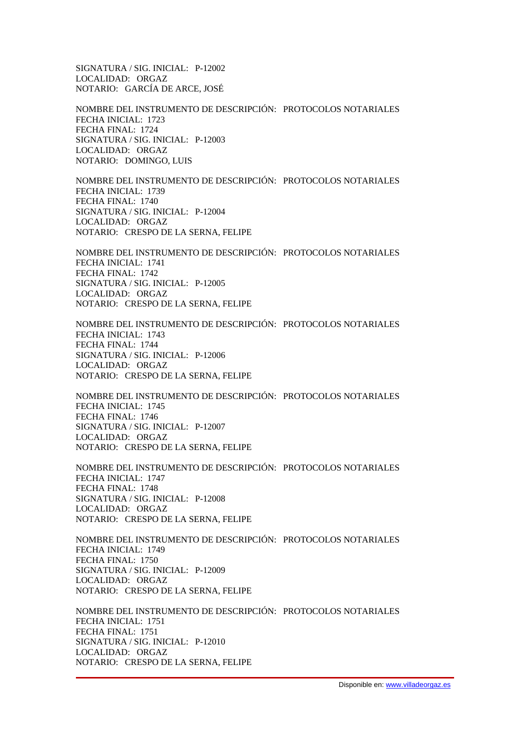SIGNATURA / SIG. INICIAL: P-12002 LOCALIDAD: ORGAZ NOTARIO: GARCÍA DE ARCE, JOSÉ

NOMBRE DEL INSTRUMENTO DE DESCRIPCIÓN: PROTOCOLOS NOTARIALES FECHA INICIAL: 1723 FECHA FINAL: 1724 SIGNATURA / SIG. INICIAL: P-12003 LOCALIDAD: ORGAZ NOTARIO: DOMINGO, LUIS

NOMBRE DEL INSTRUMENTO DE DESCRIPCIÓN: PROTOCOLOS NOTARIALES FECHA INICIAL: 1739 FECHA FINAL: 1740 SIGNATURA / SIG. INICIAL: P-12004 LOCALIDAD: ORGAZ NOTARIO: CRESPO DE LA SERNA, FELIPE

NOMBRE DEL INSTRUMENTO DE DESCRIPCIÓN: PROTOCOLOS NOTARIALES FECHA INICIAL: 1741 FECHA FINAL: 1742 SIGNATURA / SIG. INICIAL: P-12005 LOCALIDAD: ORGAZ NOTARIO: CRESPO DE LA SERNA, FELIPE

NOMBRE DEL INSTRUMENTO DE DESCRIPCIÓN: PROTOCOLOS NOTARIALES FECHA INICIAL: 1743 FECHA FINAL: 1744 SIGNATURA / SIG. INICIAL: P-12006 LOCALIDAD: ORGAZ NOTARIO: CRESPO DE LA SERNA, FELIPE

NOMBRE DEL INSTRUMENTO DE DESCRIPCIÓN: PROTOCOLOS NOTARIALES FECHA INICIAL: 1745 FECHA FINAL: 1746 SIGNATURA / SIG. INICIAL: P-12007 LOCALIDAD: ORGAZ NOTARIO: CRESPO DE LA SERNA, FELIPE

NOMBRE DEL INSTRUMENTO DE DESCRIPCIÓN: PROTOCOLOS NOTARIALES FECHA INICIAL: 1747 FECHA FINAL: 1748 SIGNATURA / SIG. INICIAL: P-12008 LOCALIDAD: ORGAZ NOTARIO: CRESPO DE LA SERNA, FELIPE

NOMBRE DEL INSTRUMENTO DE DESCRIPCIÓN: PROTOCOLOS NOTARIALES FECHA INICIAL: 1749 FECHA FINAL: 1750 SIGNATURA / SIG. INICIAL: P-12009 LOCALIDAD: ORGAZ NOTARIO: CRESPO DE LA SERNA, FELIPE

NOMBRE DEL INSTRUMENTO DE DESCRIPCIÓN: PROTOCOLOS NOTARIALES FECHA INICIAL: 1751 FECHA FINAL: 1751 SIGNATURA / SIG. INICIAL: P-12010 LOCALIDAD: ORGAZ NOTARIO: CRESPO DE LA SERNA, FELIPE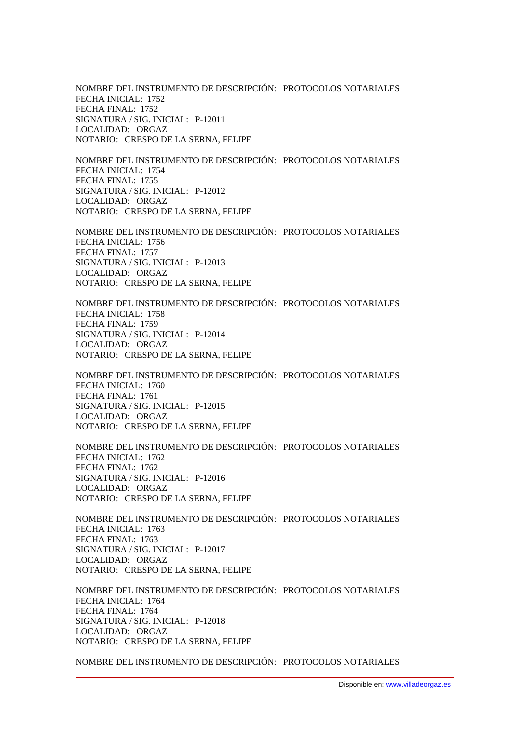NOMBRE DEL INSTRUMENTO DE DESCRIPCIÓN: PROTOCOLOS NOTARIALES FECHA INICIAL: 1752 FECHA FINAL: 1752 SIGNATURA / SIG. INICIAL: P-12011 LOCALIDAD: ORGAZ NOTARIO: CRESPO DE LA SERNA, FELIPE

NOMBRE DEL INSTRUMENTO DE DESCRIPCIÓN: PROTOCOLOS NOTARIALES FECHA INICIAL: 1754 FECHA FINAL: 1755 SIGNATURA / SIG. INICIAL: P-12012 LOCALIDAD: ORGAZ NOTARIO: CRESPO DE LA SERNA, FELIPE

NOMBRE DEL INSTRUMENTO DE DESCRIPCIÓN: PROTOCOLOS NOTARIALES FECHA INICIAL: 1756 FECHA FINAL: 1757 SIGNATURA / SIG. INICIAL: P-12013 LOCALIDAD: ORGAZ NOTARIO: CRESPO DE LA SERNA, FELIPE

NOMBRE DEL INSTRUMENTO DE DESCRIPCIÓN: PROTOCOLOS NOTARIALES FECHA INICIAL: 1758 FECHA FINAL: 1759 SIGNATURA / SIG. INICIAL: P-12014 LOCALIDAD: ORGAZ NOTARIO: CRESPO DE LA SERNA, FELIPE

NOMBRE DEL INSTRUMENTO DE DESCRIPCIÓN: PROTOCOLOS NOTARIALES FECHA INICIAL: 1760 FECHA FINAL: 1761 SIGNATURA / SIG. INICIAL: P-12015 LOCALIDAD: ORGAZ NOTARIO: CRESPO DE LA SERNA, FELIPE

NOMBRE DEL INSTRUMENTO DE DESCRIPCIÓN: PROTOCOLOS NOTARIALES FECHA INICIAL: 1762 FECHA FINAL: 1762 SIGNATURA / SIG. INICIAL: P-12016 LOCALIDAD: ORGAZ NOTARIO: CRESPO DE LA SERNA, FELIPE

NOMBRE DEL INSTRUMENTO DE DESCRIPCIÓN: PROTOCOLOS NOTARIALES FECHA INICIAL: 1763 FECHA FINAL: 1763 SIGNATURA / SIG. INICIAL: P-12017 LOCALIDAD: ORGAZ NOTARIO: CRESPO DE LA SERNA, FELIPE

NOMBRE DEL INSTRUMENTO DE DESCRIPCIÓN: PROTOCOLOS NOTARIALES FECHA INICIAL: 1764 FECHA FINAL: 1764 SIGNATURA / SIG. INICIAL: P-12018 LOCALIDAD: ORGAZ NOTARIO: CRESPO DE LA SERNA, FELIPE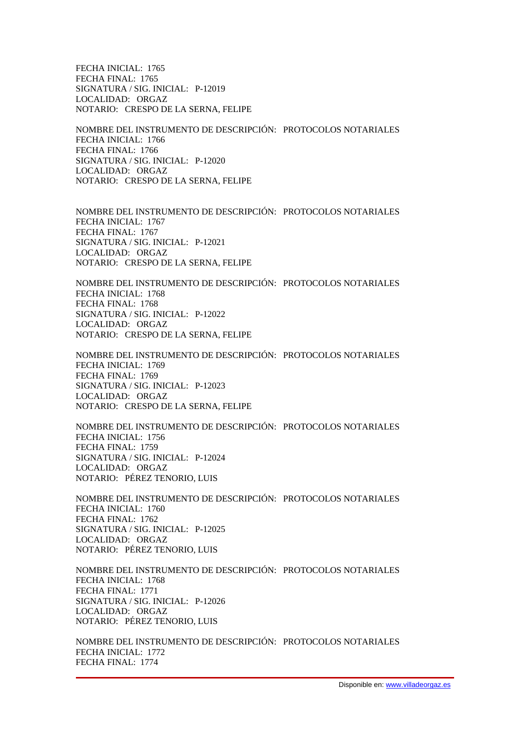FECHA INICIAL: 1765 FECHA FINAL: 1765 SIGNATURA / SIG. INICIAL: P-12019 LOCALIDAD: ORGAZ NOTARIO: CRESPO DE LA SERNA, FELIPE

NOMBRE DEL INSTRUMENTO DE DESCRIPCIÓN: PROTOCOLOS NOTARIALES FECHA INICIAL: 1766 FECHA FINAL: 1766 SIGNATURA / SIG. INICIAL: P-12020 LOCALIDAD: ORGAZ NOTARIO: CRESPO DE LA SERNA, FELIPE

NOMBRE DEL INSTRUMENTO DE DESCRIPCIÓN: PROTOCOLOS NOTARIALES FECHA INICIAL: 1767 FECHA FINAL: 1767 SIGNATURA / SIG. INICIAL: P-12021 LOCALIDAD: ORGAZ NOTARIO: CRESPO DE LA SERNA, FELIPE

NOMBRE DEL INSTRUMENTO DE DESCRIPCIÓN: PROTOCOLOS NOTARIALES FECHA INICIAL: 1768 FECHA FINAL: 1768 SIGNATURA / SIG. INICIAL: P-12022 LOCALIDAD: ORGAZ NOTARIO: CRESPO DE LA SERNA, FELIPE

NOMBRE DEL INSTRUMENTO DE DESCRIPCIÓN: PROTOCOLOS NOTARIALES FECHA INICIAL: 1769 FECHA FINAL: 1769 SIGNATURA / SIG. INICIAL: P-12023 LOCALIDAD: ORGAZ NOTARIO: CRESPO DE LA SERNA, FELIPE

NOMBRE DEL INSTRUMENTO DE DESCRIPCIÓN: PROTOCOLOS NOTARIALES FECHA INICIAL: 1756 FECHA FINAL: 1759 SIGNATURA / SIG. INICIAL: P-12024 LOCALIDAD: ORGAZ NOTARIO: PÉREZ TENORIO, LUIS

NOMBRE DEL INSTRUMENTO DE DESCRIPCIÓN: PROTOCOLOS NOTARIALES FECHA INICIAL: 1760 FECHA FINAL: 1762 SIGNATURA / SIG. INICIAL: P-12025 LOCALIDAD: ORGAZ NOTARIO: PÉREZ TENORIO, LUIS

NOMBRE DEL INSTRUMENTO DE DESCRIPCIÓN: PROTOCOLOS NOTARIALES FECHA INICIAL: 1768 FECHA FINAL: 1771 SIGNATURA / SIG. INICIAL: P-12026 LOCALIDAD: ORGAZ NOTARIO: PÉREZ TENORIO, LUIS

NOMBRE DEL INSTRUMENTO DE DESCRIPCIÓN: PROTOCOLOS NOTARIALES FECHA INICIAL: 1772 FECHA FINAL: 1774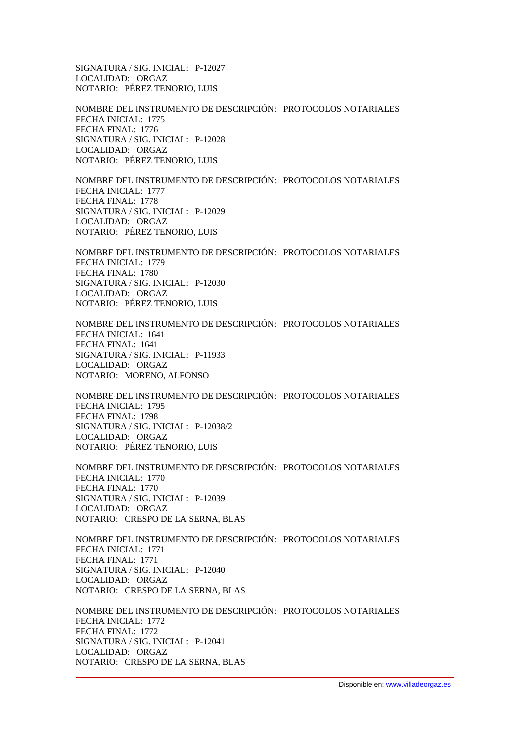SIGNATURA / SIG. INICIAL: P-12027 LOCALIDAD: ORGAZ NOTARIO: PÉREZ TENORIO, LUIS

NOMBRE DEL INSTRUMENTO DE DESCRIPCIÓN: PROTOCOLOS NOTARIALES FECHA INICIAL: 1775 FECHA FINAL: 1776 SIGNATURA / SIG. INICIAL: P-12028 LOCALIDAD: ORGAZ NOTARIO: PÉREZ TENORIO, LUIS

NOMBRE DEL INSTRUMENTO DE DESCRIPCIÓN: PROTOCOLOS NOTARIALES FECHA INICIAL: 1777 FECHA FINAL: 1778 SIGNATURA / SIG. INICIAL: P-12029 LOCALIDAD: ORGAZ NOTARIO: PÉREZ TENORIO, LUIS

NOMBRE DEL INSTRUMENTO DE DESCRIPCIÓN: PROTOCOLOS NOTARIALES FECHA INICIAL: 1779 FECHA FINAL: 1780 SIGNATURA / SIG. INICIAL: P-12030 LOCALIDAD: ORGAZ NOTARIO: PÉREZ TENORIO, LUIS

NOMBRE DEL INSTRUMENTO DE DESCRIPCIÓN: PROTOCOLOS NOTARIALES FECHA INICIAL: 1641 FECHA FINAL: 1641 SIGNATURA / SIG. INICIAL: P-11933 LOCALIDAD: ORGAZ NOTARIO: MORENO, ALFONSO

NOMBRE DEL INSTRUMENTO DE DESCRIPCIÓN: PROTOCOLOS NOTARIALES FECHA INICIAL: 1795 FECHA FINAL: 1798 SIGNATURA / SIG. INICIAL: P-12038/2 LOCALIDAD: ORGAZ NOTARIO: PÉREZ TENORIO, LUIS

NOMBRE DEL INSTRUMENTO DE DESCRIPCIÓN: PROTOCOLOS NOTARIALES FECHA INICIAL: 1770 FECHA FINAL: 1770 SIGNATURA / SIG. INICIAL: P-12039 LOCALIDAD: ORGAZ NOTARIO: CRESPO DE LA SERNA, BLAS

NOMBRE DEL INSTRUMENTO DE DESCRIPCIÓN: PROTOCOLOS NOTARIALES FECHA INICIAL: 1771 FECHA FINAL: 1771 SIGNATURA / SIG. INICIAL: P-12040 LOCALIDAD: ORGAZ NOTARIO: CRESPO DE LA SERNA, BLAS

NOMBRE DEL INSTRUMENTO DE DESCRIPCIÓN: PROTOCOLOS NOTARIALES FECHA INICIAL: 1772 FECHA FINAL: 1772 SIGNATURA / SIG. INICIAL: P-12041 LOCALIDAD: ORGAZ NOTARIO: CRESPO DE LA SERNA, BLAS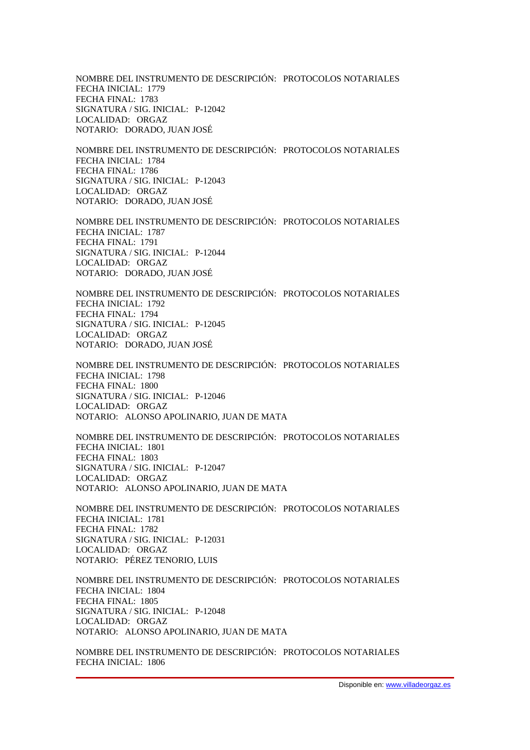NOMBRE DEL INSTRUMENTO DE DESCRIPCIÓN: PROTOCOLOS NOTARIALES FECHA INICIAL: 1779 FECHA FINAL: 1783 SIGNATURA / SIG. INICIAL: P-12042 LOCALIDAD: ORGAZ NOTARIO: DORADO, JUAN JOSÉ

NOMBRE DEL INSTRUMENTO DE DESCRIPCIÓN: PROTOCOLOS NOTARIALES FECHA INICIAL: 1784 FECHA FINAL: 1786 SIGNATURA / SIG. INICIAL: P-12043 LOCALIDAD: ORGAZ NOTARIO: DORADO, JUAN JOSÉ

NOMBRE DEL INSTRUMENTO DE DESCRIPCIÓN: PROTOCOLOS NOTARIALES FECHA INICIAL: 1787 FECHA FINAL: 1791 SIGNATURA / SIG. INICIAL: P-12044 LOCALIDAD: ORGAZ NOTARIO: DORADO, JUAN JOSÉ

NOMBRE DEL INSTRUMENTO DE DESCRIPCIÓN: PROTOCOLOS NOTARIALES FECHA INICIAL: 1792 FECHA FINAL: 1794 SIGNATURA / SIG. INICIAL: P-12045 LOCALIDAD: ORGAZ NOTARIO: DORADO, JUAN JOSÉ

NOMBRE DEL INSTRUMENTO DE DESCRIPCIÓN: PROTOCOLOS NOTARIALES FECHA INICIAL: 1798 FECHA FINAL: 1800 SIGNATURA / SIG. INICIAL: P-12046 LOCALIDAD: ORGAZ NOTARIO: ALONSO APOLINARIO, JUAN DE MATA

NOMBRE DEL INSTRUMENTO DE DESCRIPCIÓN: PROTOCOLOS NOTARIALES FECHA INICIAL: 1801 FECHA FINAL: 1803 SIGNATURA / SIG. INICIAL: P-12047 LOCALIDAD: ORGAZ NOTARIO: ALONSO APOLINARIO, JUAN DE MATA

NOMBRE DEL INSTRUMENTO DE DESCRIPCIÓN: PROTOCOLOS NOTARIALES FECHA INICIAL: 1781 FECHA FINAL: 1782 SIGNATURA / SIG. INICIAL: P-12031 LOCALIDAD: ORGAZ NOTARIO: PÉREZ TENORIO, LUIS

NOMBRE DEL INSTRUMENTO DE DESCRIPCIÓN: PROTOCOLOS NOTARIALES FECHA INICIAL: 1804 FECHA FINAL: 1805 SIGNATURA / SIG. INICIAL: P-12048 LOCALIDAD: ORGAZ NOTARIO: ALONSO APOLINARIO, JUAN DE MATA

NOMBRE DEL INSTRUMENTO DE DESCRIPCIÓN: PROTOCOLOS NOTARIALES FECHA INICIAL: 1806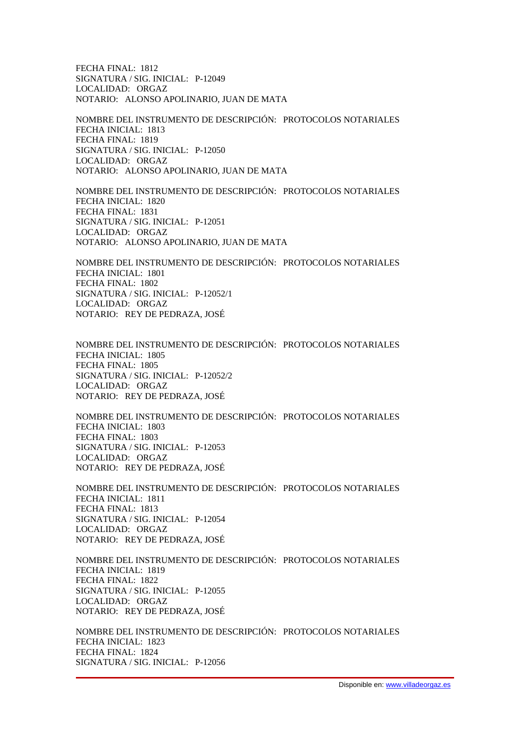FECHA FINAL: 1812 SIGNATURA / SIG. INICIAL: P-12049 LOCALIDAD: ORGAZ NOTARIO: ALONSO APOLINARIO, JUAN DE MATA

NOMBRE DEL INSTRUMENTO DE DESCRIPCIÓN: PROTOCOLOS NOTARIALES FECHA INICIAL: 1813 FECHA FINAL: 1819 SIGNATURA / SIG. INICIAL: P-12050 LOCALIDAD: ORGAZ NOTARIO: ALONSO APOLINARIO, JUAN DE MATA

NOMBRE DEL INSTRUMENTO DE DESCRIPCIÓN: PROTOCOLOS NOTARIALES FECHA INICIAL: 1820 FECHA FINAL: 1831 SIGNATURA / SIG. INICIAL: P-12051 LOCALIDAD: ORGAZ NOTARIO: ALONSO APOLINARIO, JUAN DE MATA

NOMBRE DEL INSTRUMENTO DE DESCRIPCIÓN: PROTOCOLOS NOTARIALES FECHA INICIAL: 1801 FECHA FINAL: 1802 SIGNATURA / SIG. INICIAL: P-12052/1 LOCALIDAD: ORGAZ NOTARIO: REY DE PEDRAZA, JOSÉ

NOMBRE DEL INSTRUMENTO DE DESCRIPCIÓN: PROTOCOLOS NOTARIALES FECHA INICIAL: 1805 FECHA FINAL: 1805 SIGNATURA / SIG. INICIAL: P-12052/2 LOCALIDAD: ORGAZ NOTARIO: REY DE PEDRAZA, JOSÉ

NOMBRE DEL INSTRUMENTO DE DESCRIPCIÓN: PROTOCOLOS NOTARIALES FECHA INICIAL: 1803 FECHA FINAL: 1803 SIGNATURA / SIG. INICIAL: P-12053 LOCALIDAD: ORGAZ NOTARIO: REY DE PEDRAZA, JOSÉ

NOMBRE DEL INSTRUMENTO DE DESCRIPCIÓN: PROTOCOLOS NOTARIALES FECHA INICIAL: 1811 FECHA FINAL: 1813 SIGNATURA / SIG. INICIAL: P-12054 LOCALIDAD: ORGAZ NOTARIO: REY DE PEDRAZA, JOSÉ

NOMBRE DEL INSTRUMENTO DE DESCRIPCIÓN: PROTOCOLOS NOTARIALES FECHA INICIAL: 1819 FECHA FINAL: 1822 SIGNATURA / SIG. INICIAL: P-12055 LOCALIDAD: ORGAZ NOTARIO: REY DE PEDRAZA, JOSÉ

NOMBRE DEL INSTRUMENTO DE DESCRIPCIÓN: PROTOCOLOS NOTARIALES FECHA INICIAL: 1823 FECHA FINAL: 1824 SIGNATURA / SIG. INICIAL: P-12056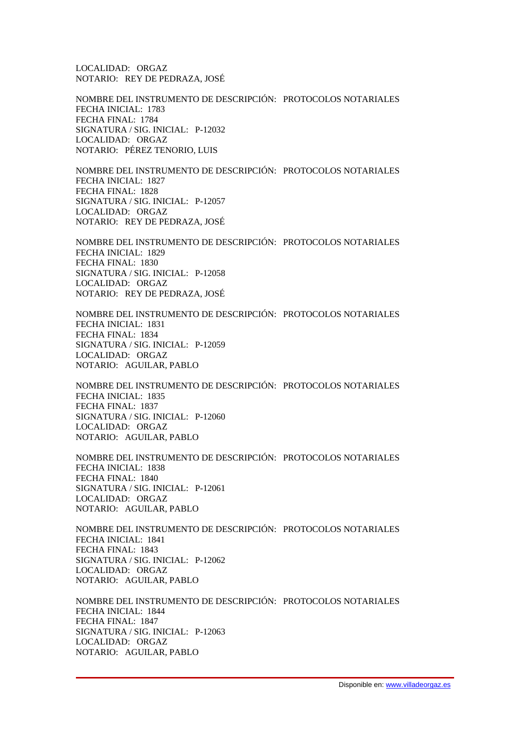LOCALIDAD: ORGAZ NOTARIO: REY DE PEDRAZA, JOSÉ

NOMBRE DEL INSTRUMENTO DE DESCRIPCIÓN: PROTOCOLOS NOTARIALES FECHA INICIAL: 1783 FECHA FINAL: 1784 SIGNATURA / SIG. INICIAL: P-12032 LOCALIDAD: ORGAZ NOTARIO: PÉREZ TENORIO, LUIS

NOMBRE DEL INSTRUMENTO DE DESCRIPCIÓN: PROTOCOLOS NOTARIALES FECHA INICIAL: 1827 FECHA FINAL: 1828 SIGNATURA / SIG. INICIAL: P-12057 LOCALIDAD: ORGAZ NOTARIO: REY DE PEDRAZA, JOSÉ

NOMBRE DEL INSTRUMENTO DE DESCRIPCIÓN: PROTOCOLOS NOTARIALES FECHA INICIAL: 1829 FECHA FINAL: 1830 SIGNATURA / SIG. INICIAL: P-12058 LOCALIDAD: ORGAZ NOTARIO: REY DE PEDRAZA, JOSÉ

NOMBRE DEL INSTRUMENTO DE DESCRIPCIÓN: PROTOCOLOS NOTARIALES FECHA INICIAL: 1831 FECHA FINAL: 1834 SIGNATURA / SIG. INICIAL: P-12059 LOCALIDAD: ORGAZ NOTARIO: AGUILAR, PABLO

NOMBRE DEL INSTRUMENTO DE DESCRIPCIÓN: PROTOCOLOS NOTARIALES FECHA INICIAL: 1835 FECHA FINAL: 1837 SIGNATURA / SIG. INICIAL: P-12060 LOCALIDAD: ORGAZ NOTARIO: AGUILAR, PABLO

NOMBRE DEL INSTRUMENTO DE DESCRIPCIÓN: PROTOCOLOS NOTARIALES FECHA INICIAL: 1838 FECHA FINAL: 1840 SIGNATURA / SIG. INICIAL: P-12061 LOCALIDAD: ORGAZ NOTARIO: AGUILAR, PABLO

NOMBRE DEL INSTRUMENTO DE DESCRIPCIÓN: PROTOCOLOS NOTARIALES FECHA INICIAL: 1841 FECHA FINAL: 1843 SIGNATURA / SIG. INICIAL: P-12062 LOCALIDAD: ORGAZ NOTARIO: AGUILAR, PABLO

NOMBRE DEL INSTRUMENTO DE DESCRIPCIÓN: PROTOCOLOS NOTARIALES FECHA INICIAL: 1844 FECHA FINAL: 1847 SIGNATURA / SIG. INICIAL: P-12063 LOCALIDAD: ORGAZ NOTARIO: AGUILAR, PABLO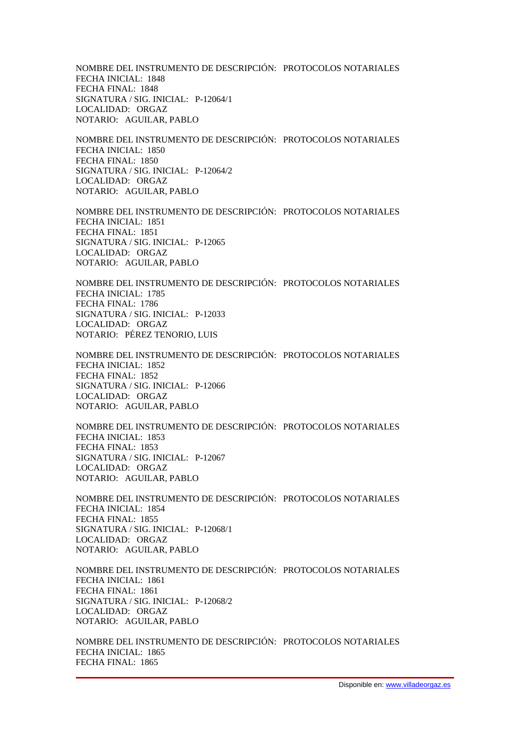NOMBRE DEL INSTRUMENTO DE DESCRIPCIÓN: PROTOCOLOS NOTARIALES FECHA INICIAL: 1848 FECHA FINAL: 1848 SIGNATURA / SIG. INICIAL: P-12064/1 LOCALIDAD: ORGAZ NOTARIO: AGUILAR, PABLO

NOMBRE DEL INSTRUMENTO DE DESCRIPCIÓN: PROTOCOLOS NOTARIALES FECHA INICIAL: 1850 FECHA FINAL: 1850 SIGNATURA / SIG. INICIAL: P-12064/2 LOCALIDAD: ORGAZ NOTARIO: AGUILAR, PABLO

NOMBRE DEL INSTRUMENTO DE DESCRIPCIÓN: PROTOCOLOS NOTARIALES FECHA INICIAL: 1851 FECHA FINAL: 1851 SIGNATURA / SIG. INICIAL: P-12065 LOCALIDAD: ORGAZ NOTARIO: AGUILAR, PABLO

NOMBRE DEL INSTRUMENTO DE DESCRIPCIÓN: PROTOCOLOS NOTARIALES FECHA INICIAL: 1785 FECHA FINAL: 1786 SIGNATURA / SIG. INICIAL: P-12033 LOCALIDAD: ORGAZ NOTARIO: PÉREZ TENORIO, LUIS

NOMBRE DEL INSTRUMENTO DE DESCRIPCIÓN: PROTOCOLOS NOTARIALES FECHA INICIAL: 1852 FECHA FINAL: 1852 SIGNATURA / SIG. INICIAL: P-12066 LOCALIDAD: ORGAZ NOTARIO: AGUILAR, PABLO

NOMBRE DEL INSTRUMENTO DE DESCRIPCIÓN: PROTOCOLOS NOTARIALES FECHA INICIAL: 1853 FECHA FINAL: 1853 SIGNATURA / SIG. INICIAL: P-12067 LOCALIDAD: ORGAZ NOTARIO: AGUILAR, PABLO

NOMBRE DEL INSTRUMENTO DE DESCRIPCIÓN: PROTOCOLOS NOTARIALES FECHA INICIAL: 1854 FECHA FINAL: 1855 SIGNATURA / SIG. INICIAL: P-12068/1 LOCALIDAD: ORGAZ NOTARIO: AGUILAR, PABLO

NOMBRE DEL INSTRUMENTO DE DESCRIPCIÓN: PROTOCOLOS NOTARIALES FECHA INICIAL: 1861 FECHA FINAL: 1861 SIGNATURA / SIG. INICIAL: P-12068/2 LOCALIDAD: ORGAZ NOTARIO: AGUILAR, PABLO

NOMBRE DEL INSTRUMENTO DE DESCRIPCIÓN: PROTOCOLOS NOTARIALES FECHA INICIAL: 1865 FECHA FINAL: 1865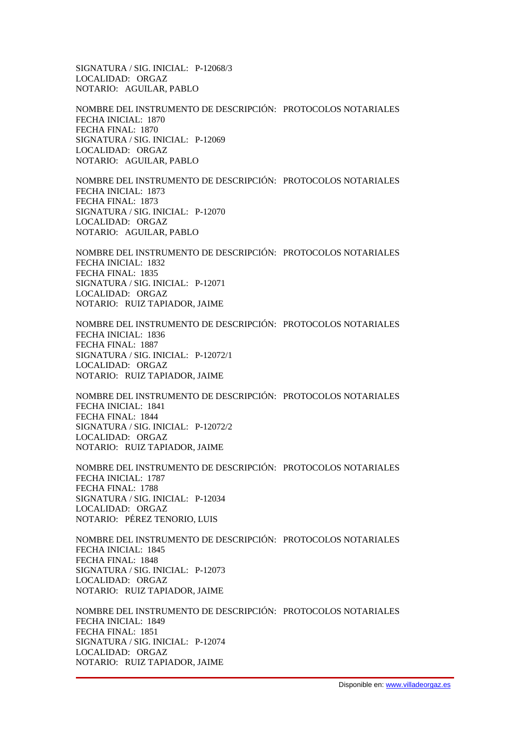SIGNATURA / SIG. INICIAL: P-12068/3 LOCALIDAD: ORGAZ NOTARIO: AGUILAR, PABLO

NOMBRE DEL INSTRUMENTO DE DESCRIPCIÓN: PROTOCOLOS NOTARIALES FECHA INICIAL: 1870 FECHA FINAL: 1870 SIGNATURA / SIG. INICIAL: P-12069 LOCALIDAD: ORGAZ NOTARIO: AGUILAR, PABLO

NOMBRE DEL INSTRUMENTO DE DESCRIPCIÓN: PROTOCOLOS NOTARIALES FECHA INICIAL: 1873 FECHA FINAL: 1873 SIGNATURA / SIG. INICIAL: P-12070 LOCALIDAD: ORGAZ NOTARIO: AGUILAR, PABLO

NOMBRE DEL INSTRUMENTO DE DESCRIPCIÓN: PROTOCOLOS NOTARIALES FECHA INICIAL: 1832 FECHA FINAL: 1835 SIGNATURA / SIG. INICIAL: P-12071 LOCALIDAD: ORGAZ NOTARIO: RUIZ TAPIADOR, JAIME

NOMBRE DEL INSTRUMENTO DE DESCRIPCIÓN: PROTOCOLOS NOTARIALES FECHA INICIAL: 1836 FECHA FINAL: 1887 SIGNATURA / SIG. INICIAL: P-12072/1 LOCALIDAD: ORGAZ NOTARIO: RUIZ TAPIADOR, JAIME

NOMBRE DEL INSTRUMENTO DE DESCRIPCIÓN: PROTOCOLOS NOTARIALES FECHA INICIAL: 1841 FECHA FINAL: 1844 SIGNATURA / SIG. INICIAL: P-12072/2 LOCALIDAD: ORGAZ NOTARIO: RUIZ TAPIADOR, JAIME

NOMBRE DEL INSTRUMENTO DE DESCRIPCIÓN: PROTOCOLOS NOTARIALES FECHA INICIAL: 1787 FECHA FINAL: 1788 SIGNATURA / SIG. INICIAL: P-12034 LOCALIDAD: ORGAZ NOTARIO: PÉREZ TENORIO, LUIS

NOMBRE DEL INSTRUMENTO DE DESCRIPCIÓN: PROTOCOLOS NOTARIALES FECHA INICIAL: 1845 FECHA FINAL: 1848 SIGNATURA / SIG. INICIAL: P-12073 LOCALIDAD: ORGAZ NOTARIO: RUIZ TAPIADOR, JAIME

NOMBRE DEL INSTRUMENTO DE DESCRIPCIÓN: PROTOCOLOS NOTARIALES FECHA INICIAL: 1849 FECHA FINAL: 1851 SIGNATURA / SIG. INICIAL: P-12074 LOCALIDAD: ORGAZ NOTARIO: RUIZ TAPIADOR, JAIME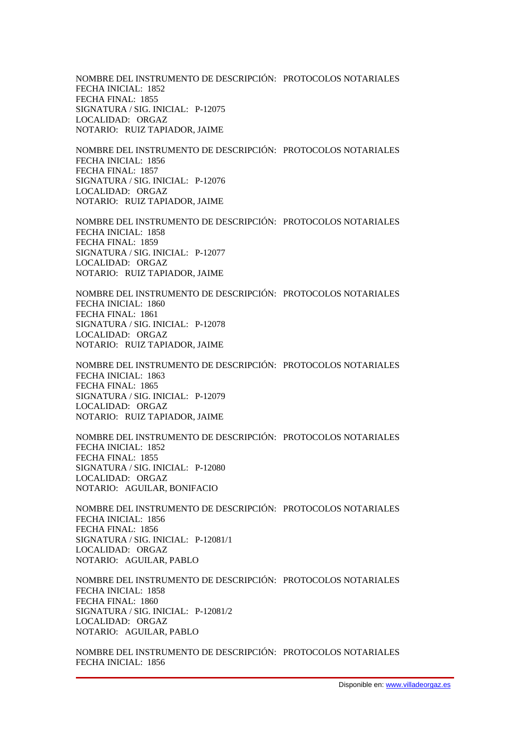NOMBRE DEL INSTRUMENTO DE DESCRIPCIÓN: PROTOCOLOS NOTARIALES FECHA INICIAL: 1852 FECHA FINAL: 1855 SIGNATURA / SIG. INICIAL: P-12075 LOCALIDAD: ORGAZ NOTARIO: RUIZ TAPIADOR, JAIME

NOMBRE DEL INSTRUMENTO DE DESCRIPCIÓN: PROTOCOLOS NOTARIALES FECHA INICIAL: 1856 FECHA FINAL: 1857 SIGNATURA / SIG. INICIAL: P-12076 LOCALIDAD: ORGAZ NOTARIO: RUIZ TAPIADOR, JAIME

NOMBRE DEL INSTRUMENTO DE DESCRIPCIÓN: PROTOCOLOS NOTARIALES FECHA INICIAL: 1858 FECHA FINAL: 1859 SIGNATURA / SIG. INICIAL: P-12077 LOCALIDAD: ORGAZ NOTARIO: RUIZ TAPIADOR, JAIME

NOMBRE DEL INSTRUMENTO DE DESCRIPCIÓN: PROTOCOLOS NOTARIALES FECHA INICIAL: 1860 FECHA FINAL: 1861 SIGNATURA / SIG. INICIAL: P-12078 LOCALIDAD: ORGAZ NOTARIO: RUIZ TAPIADOR, JAIME

NOMBRE DEL INSTRUMENTO DE DESCRIPCIÓN: PROTOCOLOS NOTARIALES FECHA INICIAL: 1863 FECHA FINAL: 1865 SIGNATURA / SIG. INICIAL: P-12079 LOCALIDAD: ORGAZ NOTARIO: RUIZ TAPIADOR, JAIME

NOMBRE DEL INSTRUMENTO DE DESCRIPCIÓN: PROTOCOLOS NOTARIALES FECHA INICIAL: 1852 FECHA FINAL: 1855 SIGNATURA / SIG. INICIAL: P-12080 LOCALIDAD: ORGAZ NOTARIO: AGUILAR, BONIFACIO

NOMBRE DEL INSTRUMENTO DE DESCRIPCIÓN: PROTOCOLOS NOTARIALES FECHA INICIAL: 1856 FECHA FINAL: 1856 SIGNATURA / SIG. INICIAL: P-12081/1 LOCALIDAD: ORGAZ NOTARIO: AGUILAR, PABLO

NOMBRE DEL INSTRUMENTO DE DESCRIPCIÓN: PROTOCOLOS NOTARIALES FECHA INICIAL: 1858 FECHA FINAL: 1860 SIGNATURA / SIG. INICIAL: P-12081/2 LOCALIDAD: ORGAZ NOTARIO: AGUILAR, PABLO

NOMBRE DEL INSTRUMENTO DE DESCRIPCIÓN: PROTOCOLOS NOTARIALES FECHA INICIAL: 1856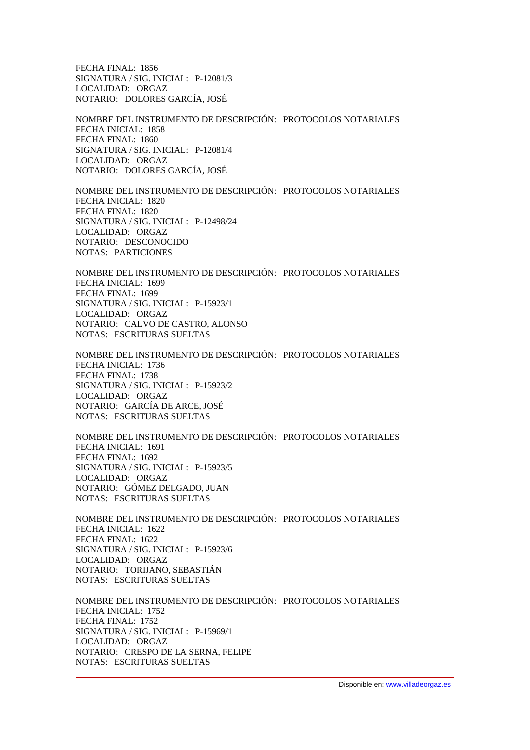FECHA FINAL: 1856 SIGNATURA / SIG. INICIAL: P-12081/3 LOCALIDAD: ORGAZ NOTARIO: DOLORES GARCÍA, JOSÉ

NOMBRE DEL INSTRUMENTO DE DESCRIPCIÓN: PROTOCOLOS NOTARIALES FECHA INICIAL: 1858 FECHA FINAL: 1860 SIGNATURA / SIG. INICIAL: P-12081/4 LOCALIDAD: ORGAZ NOTARIO: DOLORES GARCÍA, JOSÉ

NOMBRE DEL INSTRUMENTO DE DESCRIPCIÓN: PROTOCOLOS NOTARIALES FECHA INICIAL: 1820 FECHA FINAL: 1820 SIGNATURA / SIG. INICIAL: P-12498/24 LOCALIDAD: ORGAZ NOTARIO: DESCONOCIDO NOTAS: PARTICIONES

NOMBRE DEL INSTRUMENTO DE DESCRIPCIÓN: PROTOCOLOS NOTARIALES FECHA INICIAL: 1699 FECHA FINAL: 1699 SIGNATURA / SIG. INICIAL: P-15923/1 LOCALIDAD: ORGAZ NOTARIO: CALVO DE CASTRO, ALONSO NOTAS: ESCRITURAS SUELTAS

NOMBRE DEL INSTRUMENTO DE DESCRIPCIÓN: PROTOCOLOS NOTARIALES FECHA INICIAL: 1736 FECHA FINAL: 1738 SIGNATURA / SIG. INICIAL: P-15923/2 LOCALIDAD: ORGAZ NOTARIO: GARCÍA DE ARCE, JOSÉ NOTAS: ESCRITURAS SUELTAS

NOMBRE DEL INSTRUMENTO DE DESCRIPCIÓN: PROTOCOLOS NOTARIALES FECHA INICIAL: 1691 FECHA FINAL: 1692 SIGNATURA / SIG. INICIAL: P-15923/5 LOCALIDAD: ORGAZ NOTARIO: GÓMEZ DELGADO, JUAN NOTAS: ESCRITURAS SUELTAS

NOMBRE DEL INSTRUMENTO DE DESCRIPCIÓN: PROTOCOLOS NOTARIALES FECHA INICIAL: 1622 FECHA FINAL: 1622 SIGNATURA / SIG. INICIAL: P-15923/6 LOCALIDAD: ORGAZ NOTARIO: TORIJANO, SEBASTIÁN NOTAS: ESCRITURAS SUELTAS

NOMBRE DEL INSTRUMENTO DE DESCRIPCIÓN: PROTOCOLOS NOTARIALES FECHA INICIAL: 1752 FECHA FINAL: 1752 SIGNATURA / SIG. INICIAL: P-15969/1 LOCALIDAD: ORGAZ NOTARIO: CRESPO DE LA SERNA, FELIPE NOTAS: ESCRITURAS SUELTAS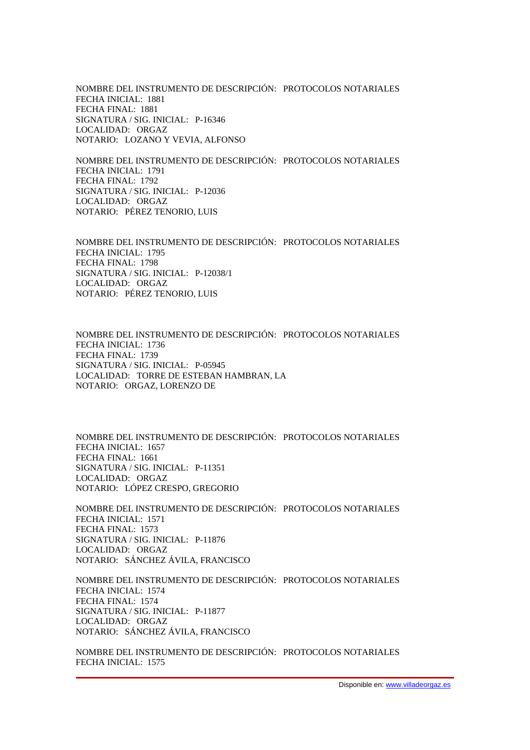NOMBRE DEL INSTRUMENTO DE DESCRIPCIÓN: PROTOCOLOS NOTARIALES FECHA INICIAL: 1881 FECHA FINAL: 1881 SIGNATURA / SIG. INICIAL: P-16346 LOCALIDAD: ORGAZ NOTARIO: LOZANO Y VEVIA, ALFONSO

NOMBRE DEL INSTRUMENTO DE DESCRIPCIÓN: PROTOCOLOS NOTARIALES FECHA INICIAL: 1791 FECHA FINAL: 1792 SIGNATURA / SIG. INICIAL: P-12036 LOCALIDAD: ORGAZ NOTARIO: PÉREZ TENORIO, LUIS

NOMBRE DEL INSTRUMENTO DE DESCRIPCIÓN: PROTOCOLOS NOTARIALES FECHA INICIAL: 1795 FECHA FINAL: 1798 SIGNATURA / SIG. INICIAL: P-12038/1 LOCALIDAD: ORGAZ NOTARIO: PÉREZ TENORIO, LUIS

NOMBRE DEL INSTRUMENTO DE DESCRIPCIÓN: PROTOCOLOS NOTARIALES FECHA INICIAL: 1736 FECHA FINAL: 1739 SIGNATURA / SIG. INICIAL: P-05945 LOCALIDAD: TORRE DE ESTEBAN HAMBRAN, LA NOTARIO: ORGAZ, LORENZO DE

NOMBRE DEL INSTRUMENTO DE DESCRIPCIÓN: PROTOCOLOS NOTARIALES FECHA INICIAL: 1657 FECHA FINAL: 1661 SIGNATURA / SIG. INICIAL: P-11351 LOCALIDAD: ORGAZ NOTARIO: LÓPEZ CRESPO, GREGORIO

NOMBRE DEL INSTRUMENTO DE DESCRIPCIÓN: PROTOCOLOS NOTARIALES FECHA INICIAL: 1571 FECHA FINAL: 1573 SIGNATURA / SIG. INICIAL: P-11876 LOCALIDAD: ORGAZ NOTARIO: SÁNCHEZ ÁVILA, FRANCISCO

NOMBRE DEL INSTRUMENTO DE DESCRIPCIÓN: PROTOCOLOS NOTARIALES FECHA INICIAL: 1574 FECHA FINAL: 1574 SIGNATURA / SIG. INICIAL: P-11877 LOCALIDAD: ORGAZ NOTARIO: SÁNCHEZ ÁVILA, FRANCISCO

NOMBRE DEL INSTRUMENTO DE DESCRIPCIÓN: PROTOCOLOS NOTARIALES FECHA INICIAL: 1575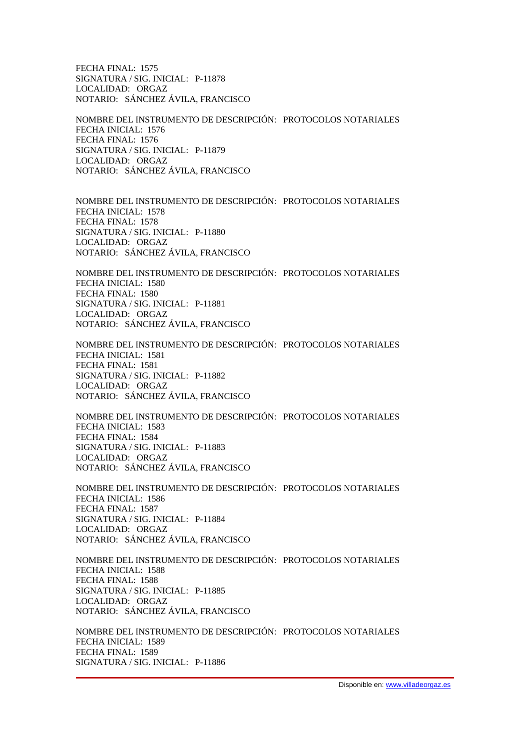FECHA FINAL: 1575 SIGNATURA / SIG. INICIAL: P-11878 LOCALIDAD: ORGAZ NOTARIO: SÁNCHEZ ÁVILA, FRANCISCO

NOMBRE DEL INSTRUMENTO DE DESCRIPCIÓN: PROTOCOLOS NOTARIALES FECHA INICIAL: 1576 FECHA FINAL: 1576 SIGNATURA / SIG. INICIAL: P-11879 LOCALIDAD: ORGAZ NOTARIO: SÁNCHEZ ÁVILA, FRANCISCO

NOMBRE DEL INSTRUMENTO DE DESCRIPCIÓN: PROTOCOLOS NOTARIALES FECHA INICIAL: 1578 FECHA FINAL: 1578 SIGNATURA / SIG. INICIAL: P-11880 LOCALIDAD: ORGAZ NOTARIO: SÁNCHEZ ÁVILA, FRANCISCO

NOMBRE DEL INSTRUMENTO DE DESCRIPCIÓN: PROTOCOLOS NOTARIALES FECHA INICIAL: 1580 FECHA FINAL: 1580 SIGNATURA / SIG. INICIAL: P-11881 LOCALIDAD: ORGAZ NOTARIO: SÁNCHEZ ÁVILA, FRANCISCO

NOMBRE DEL INSTRUMENTO DE DESCRIPCIÓN: PROTOCOLOS NOTARIALES FECHA INICIAL: 1581 FECHA FINAL: 1581 SIGNATURA / SIG. INICIAL: P-11882 LOCALIDAD: ORGAZ NOTARIO: SÁNCHEZ ÁVILA, FRANCISCO

NOMBRE DEL INSTRUMENTO DE DESCRIPCIÓN: PROTOCOLOS NOTARIALES FECHA INICIAL: 1583 FECHA FINAL: 1584 SIGNATURA / SIG. INICIAL: P-11883 LOCALIDAD: ORGAZ NOTARIO: SÁNCHEZ ÁVILA, FRANCISCO

NOMBRE DEL INSTRUMENTO DE DESCRIPCIÓN: PROTOCOLOS NOTARIALES FECHA INICIAL: 1586 FECHA FINAL: 1587 SIGNATURA / SIG. INICIAL: P-11884 LOCALIDAD: ORGAZ NOTARIO: SÁNCHEZ ÁVILA, FRANCISCO

NOMBRE DEL INSTRUMENTO DE DESCRIPCIÓN: PROTOCOLOS NOTARIALES FECHA INICIAL: 1588 FECHA FINAL: 1588 SIGNATURA / SIG. INICIAL: P-11885 LOCALIDAD: ORGAZ NOTARIO: SÁNCHEZ ÁVILA, FRANCISCO

NOMBRE DEL INSTRUMENTO DE DESCRIPCIÓN: PROTOCOLOS NOTARIALES FECHA INICIAL: 1589 FECHA FINAL: 1589 SIGNATURA / SIG. INICIAL: P-11886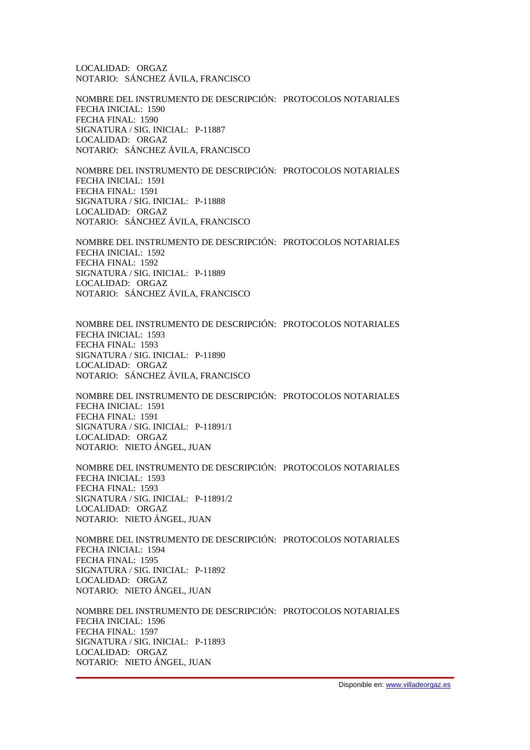LOCALIDAD: ORGAZ NOTARIO: SÁNCHEZ ÁVILA, FRANCISCO

NOMBRE DEL INSTRUMENTO DE DESCRIPCIÓN: PROTOCOLOS NOTARIALES FECHA INICIAL: 1590 FECHA FINAL: 1590 SIGNATURA / SIG. INICIAL: P-11887 LOCALIDAD: ORGAZ NOTARIO: SÁNCHEZ ÁVILA, FRANCISCO

NOMBRE DEL INSTRUMENTO DE DESCRIPCIÓN: PROTOCOLOS NOTARIALES FECHA INICIAL: 1591 FECHA FINAL: 1591 SIGNATURA / SIG. INICIAL: P-11888 LOCALIDAD: ORGAZ NOTARIO: SÁNCHEZ ÁVILA, FRANCISCO

NOMBRE DEL INSTRUMENTO DE DESCRIPCIÓN: PROTOCOLOS NOTARIALES FECHA INICIAL: 1592 FECHA FINAL: 1592 SIGNATURA / SIG. INICIAL: P-11889 LOCALIDAD: ORGAZ NOTARIO: SÁNCHEZ ÁVILA, FRANCISCO

NOMBRE DEL INSTRUMENTO DE DESCRIPCIÓN: PROTOCOLOS NOTARIALES FECHA INICIAL: 1593 FECHA FINAL: 1593 SIGNATURA / SIG. INICIAL: P-11890 LOCALIDAD: ORGAZ NOTARIO: SÁNCHEZ ÁVILA, FRANCISCO

NOMBRE DEL INSTRUMENTO DE DESCRIPCIÓN: PROTOCOLOS NOTARIALES FECHA INICIAL: 1591 FECHA FINAL: 1591 SIGNATURA / SIG. INICIAL: P-11891/1 LOCALIDAD: ORGAZ NOTARIO: NIETO ÁNGEL, JUAN

NOMBRE DEL INSTRUMENTO DE DESCRIPCIÓN: PROTOCOLOS NOTARIALES FECHA INICIAL: 1593 FECHA FINAL: 1593 SIGNATURA / SIG. INICIAL: P-11891/2 LOCALIDAD: ORGAZ NOTARIO: NIETO ÁNGEL, JUAN

NOMBRE DEL INSTRUMENTO DE DESCRIPCIÓN: PROTOCOLOS NOTARIALES FECHA INICIAL: 1594 FECHA FINAL: 1595 SIGNATURA / SIG. INICIAL: P-11892 LOCALIDAD: ORGAZ NOTARIO: NIETO ÁNGEL, JUAN

NOMBRE DEL INSTRUMENTO DE DESCRIPCIÓN: PROTOCOLOS NOTARIALES FECHA INICIAL: 1596 FECHA FINAL: 1597 SIGNATURA / SIG. INICIAL: P-11893 LOCALIDAD: ORGAZ NOTARIO: NIETO ÁNGEL, JUAN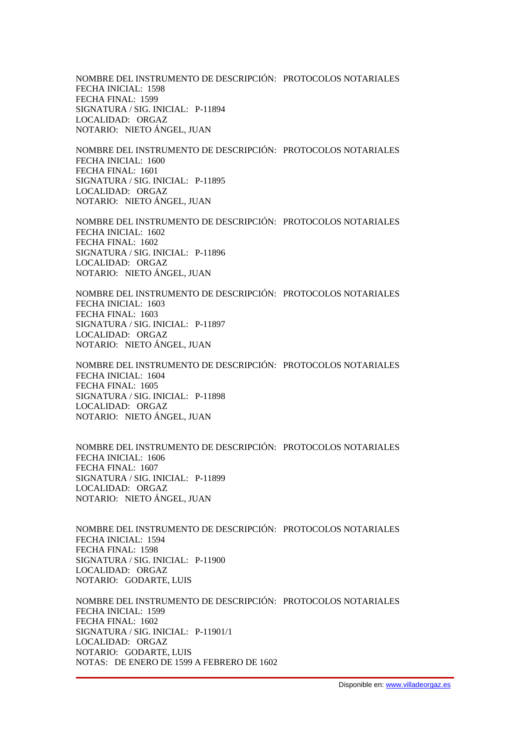NOMBRE DEL INSTRUMENTO DE DESCRIPCIÓN: PROTOCOLOS NOTARIALES FECHA INICIAL: 1598 FECHA FINAL: 1599 SIGNATURA / SIG. INICIAL: P-11894 LOCALIDAD: ORGAZ NOTARIO: NIETO ÁNGEL, JUAN

NOMBRE DEL INSTRUMENTO DE DESCRIPCIÓN: PROTOCOLOS NOTARIALES FECHA INICIAL: 1600 FECHA FINAL: 1601 SIGNATURA / SIG. INICIAL: P-11895 LOCALIDAD: ORGAZ NOTARIO: NIETO ÁNGEL, JUAN

NOMBRE DEL INSTRUMENTO DE DESCRIPCIÓN: PROTOCOLOS NOTARIALES FECHA INICIAL: 1602 FECHA FINAL: 1602 SIGNATURA / SIG. INICIAL: P-11896 LOCALIDAD: ORGAZ NOTARIO: NIETO ÁNGEL, JUAN

NOMBRE DEL INSTRUMENTO DE DESCRIPCIÓN: PROTOCOLOS NOTARIALES FECHA INICIAL: 1603 FECHA FINAL: 1603 SIGNATURA / SIG. INICIAL: P-11897 LOCALIDAD: ORGAZ NOTARIO: NIETO ÁNGEL, JUAN

NOMBRE DEL INSTRUMENTO DE DESCRIPCIÓN: PROTOCOLOS NOTARIALES FECHA INICIAL: 1604 FECHA FINAL: 1605 SIGNATURA / SIG. INICIAL: P-11898 LOCALIDAD: ORGAZ NOTARIO: NIETO ÁNGEL, JUAN

NOMBRE DEL INSTRUMENTO DE DESCRIPCIÓN: PROTOCOLOS NOTARIALES FECHA INICIAL: 1606 FECHA FINAL: 1607 SIGNATURA / SIG. INICIAL: P-11899 LOCALIDAD: ORGAZ NOTARIO: NIETO ÁNGEL, JUAN

NOMBRE DEL INSTRUMENTO DE DESCRIPCIÓN: PROTOCOLOS NOTARIALES FECHA INICIAL: 1594 FECHA FINAL: 1598 SIGNATURA / SIG. INICIAL: P-11900 LOCALIDAD: ORGAZ NOTARIO: GODARTE, LUIS

NOMBRE DEL INSTRUMENTO DE DESCRIPCIÓN: PROTOCOLOS NOTARIALES FECHA INICIAL: 1599 FECHA FINAL: 1602 SIGNATURA / SIG. INICIAL: P-11901/1 LOCALIDAD: ORGAZ NOTARIO: GODARTE, LUIS NOTAS: DE ENERO DE 1599 A FEBRERO DE 1602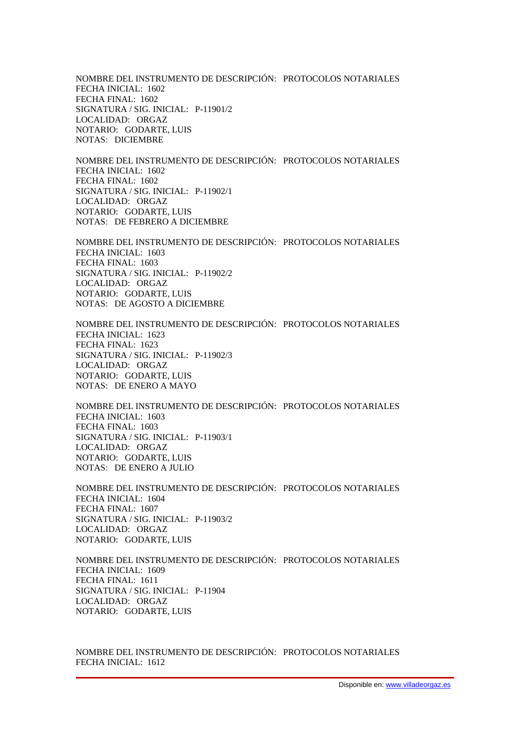NOMBRE DEL INSTRUMENTO DE DESCRIPCIÓN: PROTOCOLOS NOTARIALES FECHA INICIAL: 1602 FECHA FINAL: 1602 SIGNATURA / SIG. INICIAL: P-11901/2 LOCALIDAD: ORGAZ NOTARIO: GODARTE, LUIS NOTAS: DICIEMBRE

NOMBRE DEL INSTRUMENTO DE DESCRIPCIÓN: PROTOCOLOS NOTARIALES FECHA INICIAL: 1602 FECHA FINAL: 1602 SIGNATURA / SIG. INICIAL: P-11902/1 LOCALIDAD: ORGAZ NOTARIO: GODARTE, LUIS NOTAS: DE FEBRERO A DICIEMBRE

NOMBRE DEL INSTRUMENTO DE DESCRIPCIÓN: PROTOCOLOS NOTARIALES FECHA INICIAL: 1603 FECHA FINAL: 1603 SIGNATURA / SIG. INICIAL: P-11902/2 LOCALIDAD: ORGAZ NOTARIO: GODARTE, LUIS NOTAS: DE AGOSTO A DICIEMBRE

NOMBRE DEL INSTRUMENTO DE DESCRIPCIÓN: PROTOCOLOS NOTARIALES FECHA INICIAL: 1623 FECHA FINAL: 1623 SIGNATURA / SIG. INICIAL: P-11902/3 LOCALIDAD: ORGAZ NOTARIO: GODARTE, LUIS NOTAS: DE ENERO A MAYO

NOMBRE DEL INSTRUMENTO DE DESCRIPCIÓN: PROTOCOLOS NOTARIALES FECHA INICIAL: 1603 FECHA FINAL: 1603 SIGNATURA / SIG. INICIAL: P-11903/1 LOCALIDAD: ORGAZ NOTARIO: GODARTE, LUIS NOTAS: DE ENERO A JULIO

NOMBRE DEL INSTRUMENTO DE DESCRIPCIÓN: PROTOCOLOS NOTARIALES FECHA INICIAL: 1604 FECHA FINAL: 1607 SIGNATURA / SIG. INICIAL: P-11903/2 LOCALIDAD: ORGAZ NOTARIO: GODARTE, LUIS

NOMBRE DEL INSTRUMENTO DE DESCRIPCIÓN: PROTOCOLOS NOTARIALES FECHA INICIAL: 1609 FECHA FINAL: 1611 SIGNATURA / SIG. INICIAL: P-11904 LOCALIDAD: ORGAZ NOTARIO: GODARTE, LUIS

NOMBRE DEL INSTRUMENTO DE DESCRIPCIÓN: PROTOCOLOS NOTARIALES FECHA INICIAL: 1612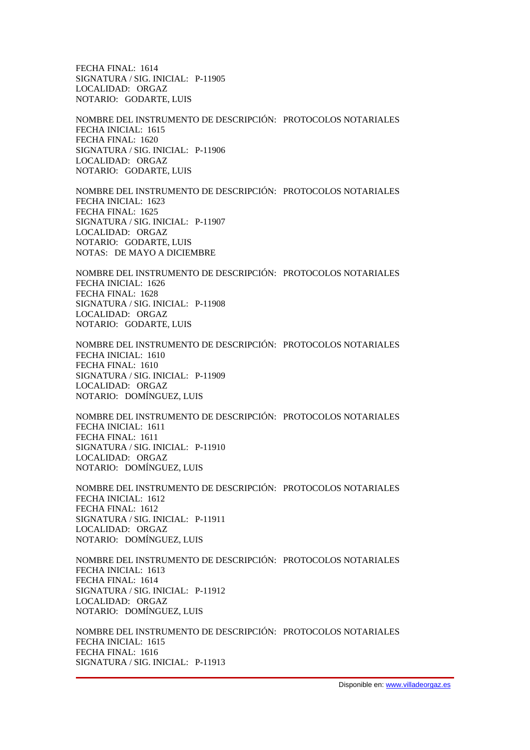FECHA FINAL: 1614 SIGNATURA / SIG. INICIAL: P-11905 LOCALIDAD: ORGAZ NOTARIO: GODARTE, LUIS

NOMBRE DEL INSTRUMENTO DE DESCRIPCIÓN: PROTOCOLOS NOTARIALES FECHA INICIAL: 1615 FECHA FINAL: 1620 SIGNATURA / SIG. INICIAL: P-11906 LOCALIDAD: ORGAZ NOTARIO: GODARTE, LUIS

NOMBRE DEL INSTRUMENTO DE DESCRIPCIÓN: PROTOCOLOS NOTARIALES FECHA INICIAL: 1623 FECHA FINAL: 1625 SIGNATURA / SIG. INICIAL: P-11907 LOCALIDAD: ORGAZ NOTARIO: GODARTE, LUIS NOTAS: DE MAYO A DICIEMBRE

NOMBRE DEL INSTRUMENTO DE DESCRIPCIÓN: PROTOCOLOS NOTARIALES FECHA INICIAL: 1626 FECHA FINAL: 1628 SIGNATURA / SIG. INICIAL: P-11908 LOCALIDAD: ORGAZ NOTARIO: GODARTE, LUIS

NOMBRE DEL INSTRUMENTO DE DESCRIPCIÓN: PROTOCOLOS NOTARIALES FECHA INICIAL: 1610 FECHA FINAL: 1610 SIGNATURA / SIG. INICIAL: P-11909 LOCALIDAD: ORGAZ NOTARIO: DOMÍNGUEZ, LUIS

NOMBRE DEL INSTRUMENTO DE DESCRIPCIÓN: PROTOCOLOS NOTARIALES FECHA INICIAL: 1611 FECHA FINAL: 1611 SIGNATURA / SIG. INICIAL: P-11910 LOCALIDAD: ORGAZ NOTARIO: DOMÍNGUEZ, LUIS

NOMBRE DEL INSTRUMENTO DE DESCRIPCIÓN: PROTOCOLOS NOTARIALES FECHA INICIAL: 1612 FECHA FINAL: 1612 SIGNATURA / SIG. INICIAL: P-11911 LOCALIDAD: ORGAZ NOTARIO: DOMÍNGUEZ, LUIS

NOMBRE DEL INSTRUMENTO DE DESCRIPCIÓN: PROTOCOLOS NOTARIALES FECHA INICIAL: 1613 FECHA FINAL: 1614 SIGNATURA / SIG. INICIAL: P-11912 LOCALIDAD: ORGAZ NOTARIO: DOMÍNGUEZ, LUIS

NOMBRE DEL INSTRUMENTO DE DESCRIPCIÓN: PROTOCOLOS NOTARIALES FECHA INICIAL: 1615 FECHA FINAL: 1616 SIGNATURA / SIG. INICIAL: P-11913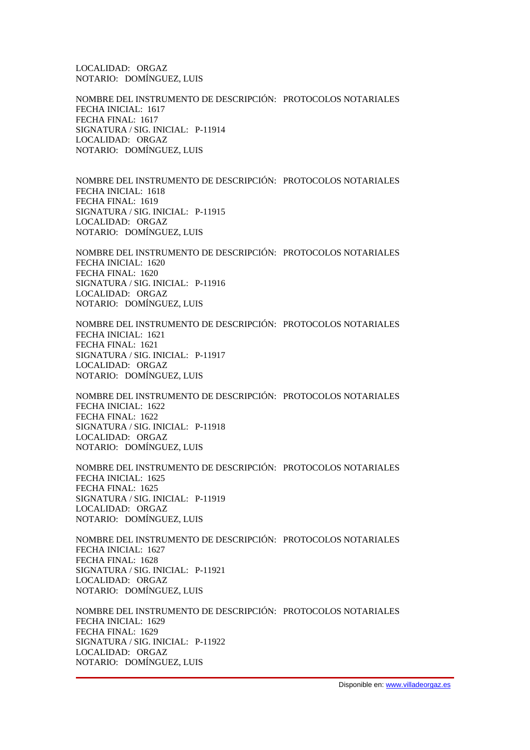LOCALIDAD: ORGAZ NOTARIO: DOMÍNGUEZ, LUIS

NOMBRE DEL INSTRUMENTO DE DESCRIPCIÓN: PROTOCOLOS NOTARIALES FECHA INICIAL: 1617 FECHA FINAL: 1617 SIGNATURA / SIG. INICIAL: P-11914 LOCALIDAD: ORGAZ NOTARIO: DOMÍNGUEZ, LUIS

NOMBRE DEL INSTRUMENTO DE DESCRIPCIÓN: PROTOCOLOS NOTARIALES FECHA INICIAL: 1618 FECHA FINAL: 1619 SIGNATURA / SIG. INICIAL: P-11915 LOCALIDAD: ORGAZ NOTARIO: DOMÍNGUEZ, LUIS

NOMBRE DEL INSTRUMENTO DE DESCRIPCIÓN: PROTOCOLOS NOTARIALES FECHA INICIAL: 1620 FECHA FINAL: 1620 SIGNATURA / SIG. INICIAL: P-11916 LOCALIDAD: ORGAZ NOTARIO: DOMÍNGUEZ, LUIS

NOMBRE DEL INSTRUMENTO DE DESCRIPCIÓN: PROTOCOLOS NOTARIALES FECHA INICIAL: 1621 FECHA FINAL: 1621 SIGNATURA / SIG. INICIAL: P-11917 LOCALIDAD: ORGAZ NOTARIO: DOMÍNGUEZ, LUIS

NOMBRE DEL INSTRUMENTO DE DESCRIPCIÓN: PROTOCOLOS NOTARIALES FECHA INICIAL: 1622 FECHA FINAL: 1622 SIGNATURA / SIG. INICIAL: P-11918 LOCALIDAD: ORGAZ NOTARIO: DOMÍNGUEZ, LUIS

NOMBRE DEL INSTRUMENTO DE DESCRIPCIÓN: PROTOCOLOS NOTARIALES FECHA INICIAL: 1625 FECHA FINAL: 1625 SIGNATURA / SIG. INICIAL: P-11919 LOCALIDAD: ORGAZ NOTARIO: DOMÍNGUEZ, LUIS

NOMBRE DEL INSTRUMENTO DE DESCRIPCIÓN: PROTOCOLOS NOTARIALES FECHA INICIAL: 1627 FECHA FINAL: 1628 SIGNATURA / SIG. INICIAL: P-11921 LOCALIDAD: ORGAZ NOTARIO: DOMÍNGUEZ, LUIS

NOMBRE DEL INSTRUMENTO DE DESCRIPCIÓN: PROTOCOLOS NOTARIALES FECHA INICIAL: 1629 FECHA FINAL: 1629 SIGNATURA / SIG. INICIAL: P-11922 LOCALIDAD: ORGAZ NOTARIO: DOMÍNGUEZ, LUIS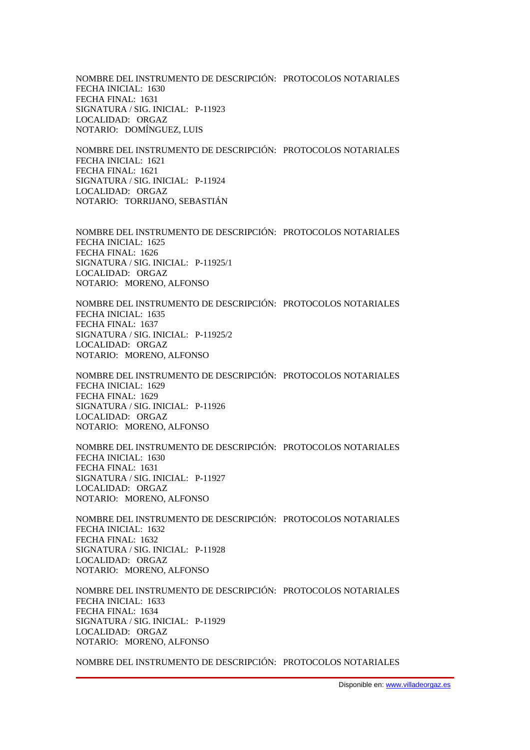NOMBRE DEL INSTRUMENTO DE DESCRIPCIÓN: PROTOCOLOS NOTARIALES FECHA INICIAL: 1630 FECHA FINAL: 1631 SIGNATURA / SIG. INICIAL: P-11923 LOCALIDAD: ORGAZ NOTARIO: DOMÍNGUEZ, LUIS

NOMBRE DEL INSTRUMENTO DE DESCRIPCIÓN: PROTOCOLOS NOTARIALES FECHA INICIAL: 1621 FECHA FINAL: 1621 SIGNATURA / SIG. INICIAL: P-11924 LOCALIDAD: ORGAZ NOTARIO: TORRIJANO, SEBASTIÁN

NOMBRE DEL INSTRUMENTO DE DESCRIPCIÓN: PROTOCOLOS NOTARIALES FECHA INICIAL: 1625 FECHA FINAL: 1626 SIGNATURA / SIG. INICIAL: P-11925/1 LOCALIDAD: ORGAZ NOTARIO: MORENO, ALFONSO

NOMBRE DEL INSTRUMENTO DE DESCRIPCIÓN: PROTOCOLOS NOTARIALES FECHA INICIAL: 1635 FECHA FINAL: 1637 SIGNATURA / SIG. INICIAL: P-11925/2 LOCALIDAD: ORGAZ NOTARIO: MORENO, ALFONSO

NOMBRE DEL INSTRUMENTO DE DESCRIPCIÓN: PROTOCOLOS NOTARIALES FECHA INICIAL: 1629 FECHA FINAL: 1629 SIGNATURA / SIG. INICIAL: P-11926 LOCALIDAD: ORGAZ NOTARIO: MORENO, ALFONSO

NOMBRE DEL INSTRUMENTO DE DESCRIPCIÓN: PROTOCOLOS NOTARIALES FECHA INICIAL: 1630 FECHA FINAL: 1631 SIGNATURA / SIG. INICIAL: P-11927 LOCALIDAD: ORGAZ NOTARIO: MORENO, ALFONSO

NOMBRE DEL INSTRUMENTO DE DESCRIPCIÓN: PROTOCOLOS NOTARIALES FECHA INICIAL: 1632 FECHA FINAL: 1632 SIGNATURA / SIG. INICIAL: P-11928 LOCALIDAD: ORGAZ NOTARIO: MORENO, ALFONSO

NOMBRE DEL INSTRUMENTO DE DESCRIPCIÓN: PROTOCOLOS NOTARIALES FECHA INICIAL: 1633 FECHA FINAL: 1634 SIGNATURA / SIG. INICIAL: P-11929 LOCALIDAD: ORGAZ NOTARIO: MORENO, ALFONSO